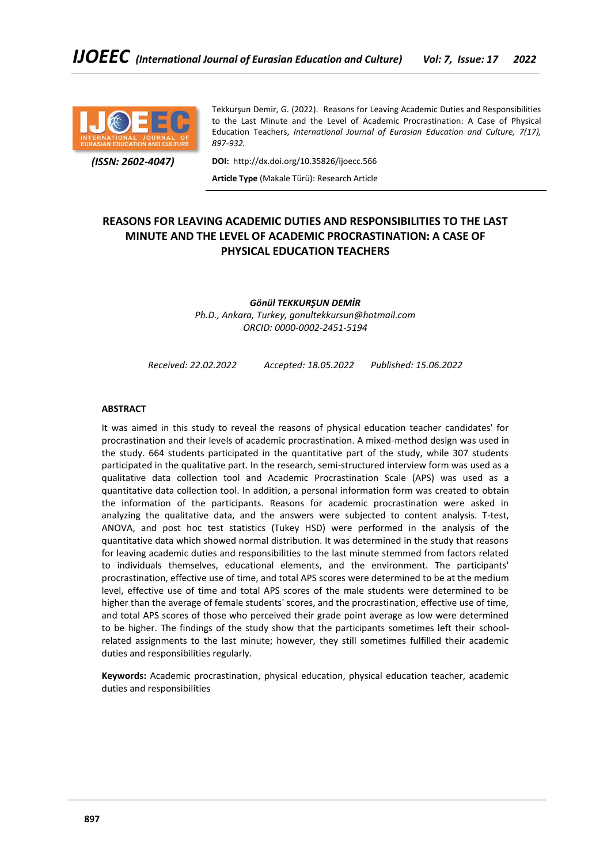

Tekkurşun Demir, G. (2022). Reasons for Leaving Academic Duties and Responsibilities to the Last Minute and the Level of Academic Procrastination: A Case of Physical Education Teachers, *International Journal of Eurasian Education and Culture, 7(17), 897-932.*

 *(ISSN: 2602-4047)*

**DOI:** http://dx.doi.org/10.35826/ijoecc.566

**Article Type** (Makale Türü): Research Article

# **REASONS FOR LEAVING ACADEMIC DUTIES AND RESPONSIBILITIES TO THE LAST MINUTE AND THE LEVEL OF ACADEMIC PROCRASTINATION: A CASE OF PHYSICAL EDUCATION TEACHERS**

*Gönül TEKKURŞUN DEMİR Ph.D., Ankara, Turkey, gonultekkursun@hotmail.com ORCID: 0000-0002-2451-5194*

*Received: 22.02.2022 Accepted: 18.05.2022 Published: 15.06.2022*

# **ABSTRACT**

It was aimed in this study to reveal the reasons of physical education teacher candidates' for procrastination and their levels of academic procrastination. A mixed-method design was used in the study. 664 students participated in the quantitative part of the study, while 307 students participated in the qualitative part. In the research, semi-structured interview form was used as a qualitative data collection tool and Academic Procrastination Scale (APS) was used as a quantitative data collection tool. In addition, a personal information form was created to obtain the information of the participants. Reasons for academic procrastination were asked in analyzing the qualitative data, and the answers were subjected to content analysis. T-test, ANOVA, and post hoc test statistics (Tukey HSD) were performed in the analysis of the quantitative data which showed normal distribution. It was determined in the study that reasons for leaving academic duties and responsibilities to the last minute stemmed from factors related to individuals themselves, educational elements, and the environment. The participants' procrastination, effective use of time, and total APS scores were determined to be at the medium level, effective use of time and total APS scores of the male students were determined to be higher than the average of female students' scores, and the procrastination, effective use of time, and total APS scores of those who perceived their grade point average as low were determined to be higher. The findings of the study show that the participants sometimes left their schoolrelated assignments to the last minute; however, they still sometimes fulfilled their academic duties and responsibilities regularly.

**Keywords:** Academic procrastination, physical education, physical education teacher, academic duties and responsibilities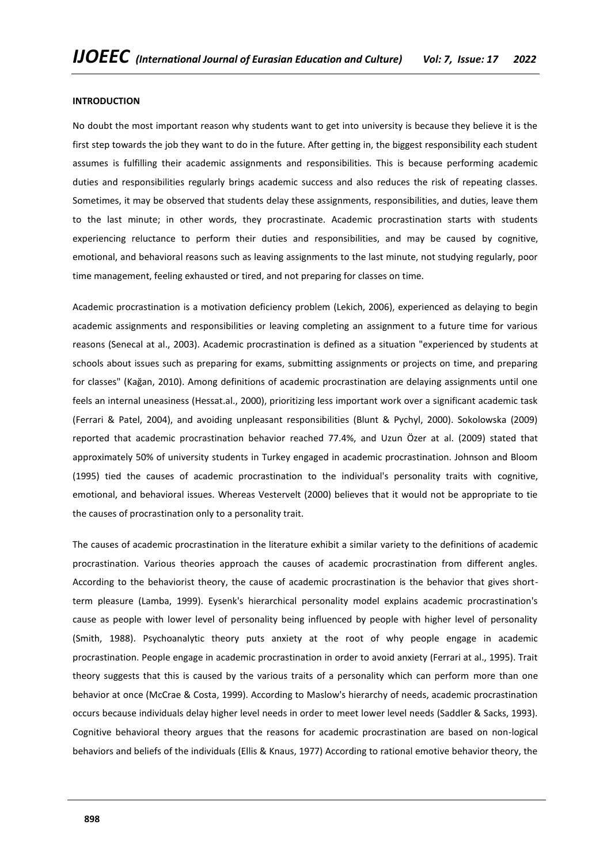#### **INTRODUCTION**

No doubt the most important reason why students want to get into university is because they believe it is the first step towards the job they want to do in the future. After getting in, the biggest responsibility each student assumes is fulfilling their academic assignments and responsibilities. This is because performing academic duties and responsibilities regularly brings academic success and also reduces the risk of repeating classes. Sometimes, it may be observed that students delay these assignments, responsibilities, and duties, leave them to the last minute; in other words, they procrastinate. Academic procrastination starts with students experiencing reluctance to perform their duties and responsibilities, and may be caused by cognitive, emotional, and behavioral reasons such as leaving assignments to the last minute, not studying regularly, poor time management, feeling exhausted or tired, and not preparing for classes on time.

Academic procrastination is a motivation deficiency problem (Lekich, 2006), experienced as delaying to begin academic assignments and responsibilities or leaving completing an assignment to a future time for various reasons (Senecal at al., 2003). Academic procrastination is defined as a situation "experienced by students at schools about issues such as preparing for exams, submitting assignments or projects on time, and preparing for classes" (Kağan, 2010). Among definitions of academic procrastination are delaying assignments until one feels an internal uneasiness (Hessat.al., 2000), prioritizing less important work over a significant academic task (Ferrari & Patel, 2004), and avoiding unpleasant responsibilities (Blunt & Pychyl, 2000). Sokolowska (2009) reported that academic procrastination behavior reached 77.4%, and Uzun Özer at al. (2009) stated that approximately 50% of university students in Turkey engaged in academic procrastination. Johnson and Bloom (1995) tied the causes of academic procrastination to the individual's personality traits with cognitive, emotional, and behavioral issues. Whereas Vestervelt (2000) believes that it would not be appropriate to tie the causes of procrastination only to a personality trait.

The causes of academic procrastination in the literature exhibit a similar variety to the definitions of academic procrastination. Various theories approach the causes of academic procrastination from different angles. According to the behaviorist theory, the cause of academic procrastination is the behavior that gives shortterm pleasure (Lamba, 1999). Eysenk's hierarchical personality model explains academic procrastination's cause as people with lower level of personality being influenced by people with higher level of personality (Smith, 1988). Psychoanalytic theory puts anxiety at the root of why people engage in academic procrastination. People engage in academic procrastination in order to avoid anxiety (Ferrari at al., 1995). Trait theory suggests that this is caused by the various traits of a personality which can perform more than one behavior at once (McCrae & Costa, 1999). According to Maslow's hierarchy of needs, academic procrastination occurs because individuals delay higher level needs in order to meet lower level needs (Saddler & Sacks, 1993). Cognitive behavioral theory argues that the reasons for academic procrastination are based on non-logical behaviors and beliefs of the individuals (Ellis & Knaus, 1977) According to rational emotive behavior theory, the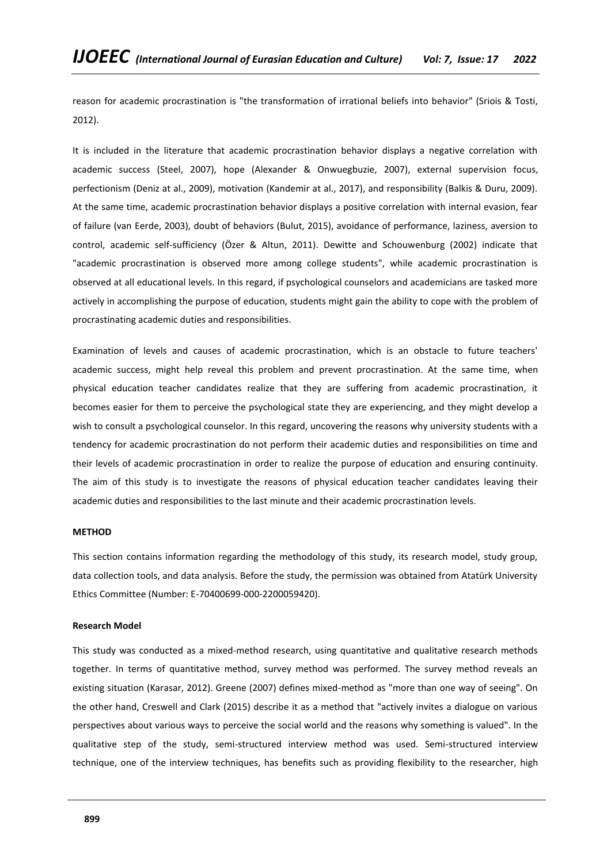reason for academic procrastination is "the transformation of irrational beliefs into behavior" (Sriois & Tosti, 2012).

It is included in the literature that academic procrastination behavior displays a negative correlation with academic success (Steel, 2007), hope (Alexander & Onwuegbuzie, 2007), external supervision focus, perfectionism (Deniz at al., 2009), motivation (Kandemir at al., 2017), and responsibility (Balkis & Duru, 2009). At the same time, academic procrastination behavior displays a positive correlation with internal evasion, fear of failure (van Eerde, 2003), doubt of behaviors (Bulut, 2015), avoidance of performance, laziness, aversion to control, academic self-sufficiency (Özer & Altun, 2011). Dewitte and Schouwenburg (2002) indicate that "academic procrastination is observed more among college students", while academic procrastination is observed at all educational levels. In this regard, if psychological counselors and academicians are tasked more actively in accomplishing the purpose of education, students might gain the ability to cope with the problem of procrastinating academic duties and responsibilities.

Examination of levels and causes of academic procrastination, which is an obstacle to future teachers' academic success, might help reveal this problem and prevent procrastination. At the same time, when physical education teacher candidates realize that they are suffering from academic procrastination, it becomes easier for them to perceive the psychological state they are experiencing, and they might develop a wish to consult a psychological counselor. In this regard, uncovering the reasons why university students with a tendency for academic procrastination do not perform their academic duties and responsibilities on time and their levels of academic procrastination in order to realize the purpose of education and ensuring continuity. The aim of this study is to investigate the reasons of physical education teacher candidates leaving their academic duties and responsibilities to the last minute and their academic procrastination levels.

# **METHOD**

This section contains information regarding the methodology of this study, its research model, study group, data collection tools, and data analysis. Before the study, the permission was obtained from Atatürk University Ethics Committee (Number: E-70400699-000-2200059420).

#### **Research Model**

This study was conducted as a mixed-method research, using quantitative and qualitative research methods together. In terms of quantitative method, survey method was performed. The survey method reveals an existing situation (Karasar, 2012). Greene (2007) defines mixed-method as "more than one way of seeing". On the other hand, Creswell and Clark (2015) describe it as a method that "actively invites a dialogue on various perspectives about various ways to perceive the social world and the reasons why something is valued". In the qualitative step of the study, semi-structured interview method was used. Semi-structured interview technique, one of the interview techniques, has benefits such as providing flexibility to the researcher, high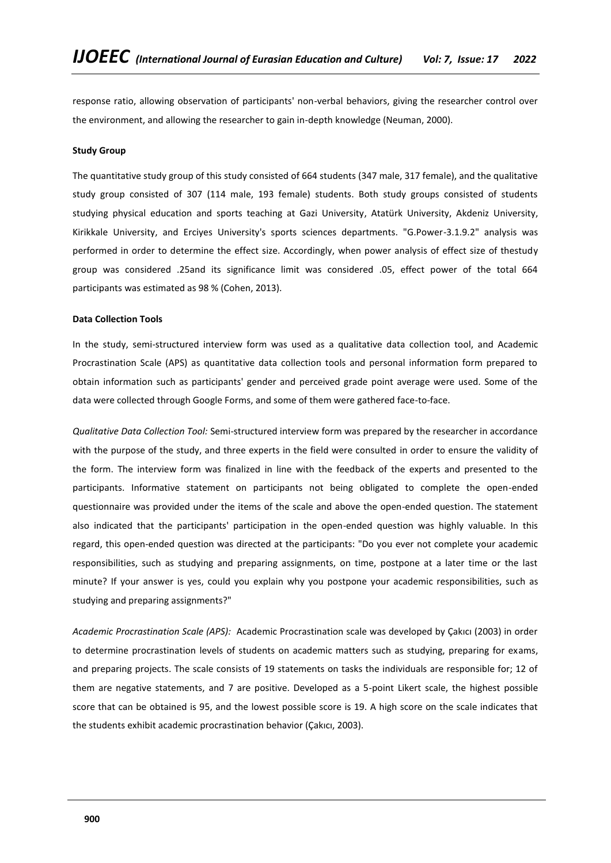response ratio, allowing observation of participants' non-verbal behaviors, giving the researcher control over the environment, and allowing the researcher to gain in-depth knowledge (Neuman, 2000).

### **Study Group**

The quantitative study group of this study consisted of 664 students (347 male, 317 female), and the qualitative study group consisted of 307 (114 male, 193 female) students. Both study groups consisted of students studying physical education and sports teaching at Gazi University, Atatürk University, Akdeniz University, Kirikkale University, and Erciyes University's sports sciences departments. "G.Power-3.1.9.2" analysis was performed in order to determine the effect size. Accordingly, when power analysis of effect size of thestudy group was considered .25and its significance limit was considered .05, effect power of the total 664 participants was estimated as 98 % (Cohen, 2013).

### **Data Collection Tools**

In the study, semi-structured interview form was used as a qualitative data collection tool, and Academic Procrastination Scale (APS) as quantitative data collection tools and personal information form prepared to obtain information such as participants' gender and perceived grade point average were used. Some of the data were collected through Google Forms, and some of them were gathered face-to-face.

*Qualitative Data Collection Tool:* Semi-structured interview form was prepared by the researcher in accordance with the purpose of the study, and three experts in the field were consulted in order to ensure the validity of the form. The interview form was finalized in line with the feedback of the experts and presented to the participants. Informative statement on participants not being obligated to complete the open-ended questionnaire was provided under the items of the scale and above the open-ended question. The statement also indicated that the participants' participation in the open-ended question was highly valuable. In this regard, this open-ended question was directed at the participants: "Do you ever not complete your academic responsibilities, such as studying and preparing assignments, on time, postpone at a later time or the last minute? If your answer is yes, could you explain why you postpone your academic responsibilities, such as studying and preparing assignments?"

*Academic Procrastination Scale (APS):* Academic Procrastination scale was developed by Çakıcı (2003) in order to determine procrastination levels of students on academic matters such as studying, preparing for exams, and preparing projects. The scale consists of 19 statements on tasks the individuals are responsible for; 12 of them are negative statements, and 7 are positive. Developed as a 5-point Likert scale, the highest possible score that can be obtained is 95, and the lowest possible score is 19. A high score on the scale indicates that the students exhibit academic procrastination behavior (Çakıcı, 2003).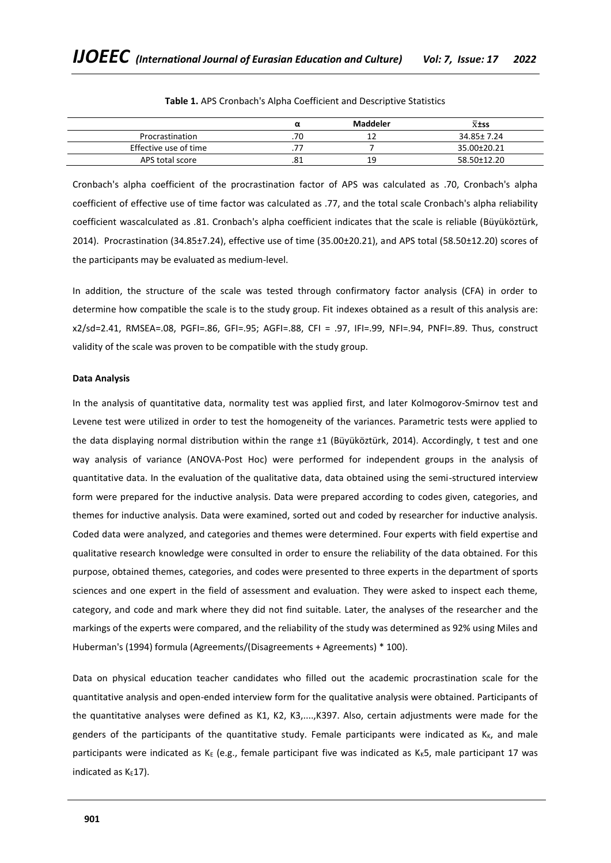|                       | α   | Maddeler | $\overline{x}$ <sup>±ss</sup> |
|-----------------------|-----|----------|-------------------------------|
| Procrastination       | .70 | . .      | 34.85± 7.24                   |
| Effective use of time |     |          | 35.00±20.21                   |
| APS total score       | .81 | 19       | 58.50±12.20                   |

**Table 1.** APS Cronbach's Alpha Coefficient and Descriptive Statistics

Cronbach's alpha coefficient of the procrastination factor of APS was calculated as .70, Cronbach's alpha coefficient of effective use of time factor was calculated as .77, and the total scale Cronbach's alpha reliability coefficient wascalculated as .81. Cronbach's alpha coefficient indicates that the scale is reliable (Büyüköztürk, 2014). Procrastination (34.85±7.24), effective use of time (35.00±20.21), and APS total (58.50±12.20) scores of the participants may be evaluated as medium-level.

In addition, the structure of the scale was tested through confirmatory factor analysis (CFA) in order to determine how compatible the scale is to the study group. Fit indexes obtained as a result of this analysis are: x2/sd=2.41, RMSEA=.08, PGFI=.86, GFI=.95; AGFI=.88, CFI = .97, IFI=.99, NFI=.94, PNFI=.89. Thus, construct validity of the scale was proven to be compatible with the study group.

### **Data Analysis**

In the analysis of quantitative data, normality test was applied first, and later Kolmogorov-Smirnov test and Levene test were utilized in order to test the homogeneity of the variances. Parametric tests were applied to the data displaying normal distribution within the range ±1 (Büyüköztürk, 2014). Accordingly, t test and one way analysis of variance (ANOVA-Post Hoc) were performed for independent groups in the analysis of quantitative data. In the evaluation of the qualitative data, data obtained using the semi-structured interview form were prepared for the inductive analysis. Data were prepared according to codes given, categories, and themes for inductive analysis. Data were examined, sorted out and coded by researcher for inductive analysis. Coded data were analyzed, and categories and themes were determined. Four experts with field expertise and qualitative research knowledge were consulted in order to ensure the reliability of the data obtained. For this purpose, obtained themes, categories, and codes were presented to three experts in the department of sports sciences and one expert in the field of assessment and evaluation. They were asked to inspect each theme, category, and code and mark where they did not find suitable. Later, the analyses of the researcher and the markings of the experts were compared, and the reliability of the study was determined as 92% using Miles and Huberman's (1994) formula (Agreements/(Disagreements + Agreements) \* 100).

Data on physical education teacher candidates who filled out the academic procrastination scale for the quantitative analysis and open-ended interview form for the qualitative analysis were obtained. Participants of the quantitative analyses were defined as K1, K2, K3,....,K397. Also, certain adjustments were made for the genders of the participants of the quantitative study. Female participants were indicated as  $K_K$ , and male participants were indicated as K<sub>E</sub> (e.g., female participant five was indicated as K<sub>K</sub>5, male participant 17 was indicated as  $K<sub>E</sub>17$ ).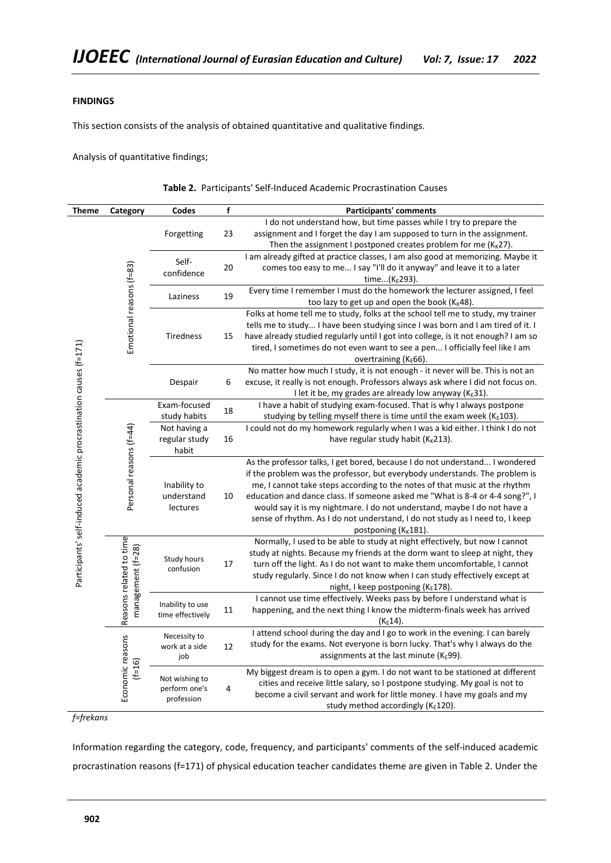# **FINDINGS**

This section consists of the analysis of obtained quantitative and qualitative findings.

Analysis of quantitative findings;

|  |  |  |  | Table 2. Participants' Self-Induced Academic Procrastination Causes |  |
|--|--|--|--|---------------------------------------------------------------------|--|
|--|--|--|--|---------------------------------------------------------------------|--|

| <b>Theme</b>                                                       | Category                                     | Codes                                         | f  | <b>Participants' comments</b>                                                                                                                                                                                                                                                                                                                                                                                                                                                                                            |
|--------------------------------------------------------------------|----------------------------------------------|-----------------------------------------------|----|--------------------------------------------------------------------------------------------------------------------------------------------------------------------------------------------------------------------------------------------------------------------------------------------------------------------------------------------------------------------------------------------------------------------------------------------------------------------------------------------------------------------------|
|                                                                    |                                              | Forgetting                                    | 23 | I do not understand how, but time passes while I try to prepare the<br>assignment and I forget the day I am supposed to turn in the assignment.<br>Then the assignment I postponed creates problem for me ( $K_K$ 27).                                                                                                                                                                                                                                                                                                   |
|                                                                    |                                              | Self-<br>confidence                           | 20 | I am already gifted at practice classes, I am also good at memorizing. Maybe it<br>comes too easy to me I say "I'll do it anyway" and leave it to a later<br>time(K <sub>E</sub> 293).                                                                                                                                                                                                                                                                                                                                   |
|                                                                    |                                              | Laziness                                      | 19 | Every time I remember I must do the homework the lecturer assigned, I feel<br>too lazy to get up and open the book (K <sub>K</sub> 48).                                                                                                                                                                                                                                                                                                                                                                                  |
|                                                                    | Emotional reasons (f=83)                     | Tiredness                                     | 15 | Folks at home tell me to study, folks at the school tell me to study, my trainer<br>tells me to study I have been studying since I was born and I am tired of it. I<br>have already studied regularly until I got into college, is it not enough? I am so<br>tired, I sometimes do not even want to see a pen I officially feel like I am<br>overtraining $(K_E 66)$ .                                                                                                                                                   |
|                                                                    |                                              | Despair                                       | 6  | No matter how much I study, it is not enough - it never will be. This is not an<br>excuse, it really is not enough. Professors always ask where I did not focus on.<br>I let it be, my grades are already low anyway ( $K_E$ 31).                                                                                                                                                                                                                                                                                        |
|                                                                    |                                              | Exam-focused<br>study habits                  | 18 | I have a habit of studying exam-focused. That is why I always postpone<br>studying by telling myself there is time until the exam week ( $K_E$ 103).                                                                                                                                                                                                                                                                                                                                                                     |
| Participants' self-induced academic procrastination causes (f=171) | Personal reasons (f=44)                      | Not having a<br>regular study<br>habit        | 16 | I could not do my homework regularly when I was a kid either. I think I do not<br>have regular study habit ( $K_K$ 213).                                                                                                                                                                                                                                                                                                                                                                                                 |
|                                                                    |                                              | Inability to<br>understand<br>lectures        | 10 | As the professor talks, I get bored, because I do not understand I wondered<br>if the problem was the professor, but everybody understands. The problem is<br>me, I cannot take steps according to the notes of that music at the rhythm<br>education and dance class. If someone asked me "What is 8-4 or 4-4 song?", I<br>would say it is my nightmare. I do not understand, maybe I do not have a<br>sense of rhythm. As I do not understand, I do not study as I need to, I keep<br>postponing (K <sub>K</sub> 181). |
|                                                                    | Reasons related to time<br>management (f=28) | Study hours<br>confusion                      | 17 | Normally, I used to be able to study at night effectively, but now I cannot<br>study at nights. Because my friends at the dorm want to sleep at night, they<br>turn off the light. As I do not want to make them uncomfortable, I cannot<br>study regularly. Since I do not know when I can study effectively except at<br>night, I keep postponing (KE178).                                                                                                                                                             |
|                                                                    |                                              | Inability to use<br>time effectively          | 11 | I cannot use time effectively. Weeks pass by before I understand what is<br>happening, and the next thing I know the midterm-finals week has arrived<br>$(K_E 14).$                                                                                                                                                                                                                                                                                                                                                      |
|                                                                    |                                              | Necessity to<br>work at a side<br>job         | 12 | I attend school during the day and I go to work in the evening. I can barely<br>study for the exams. Not everyone is born lucky. That's why I always do the<br>assignments at the last minute (KE99).                                                                                                                                                                                                                                                                                                                    |
|                                                                    | Economic reasons<br>$(1=16)$                 | Not wishing to<br>perform one's<br>profession | 4  | My biggest dream is to open a gym. I do not want to be stationed at different<br>cities and receive little salary, so I postpone studying. My goal is not to<br>become a civil servant and work for little money. I have my goals and my<br>study method accordingly (KE120).                                                                                                                                                                                                                                            |

*f=frekans*

Information regarding the category, code, frequency, and participants' comments of the self-induced academic procrastination reasons (f=171) of physical education teacher candidates theme are given in Table 2. Under the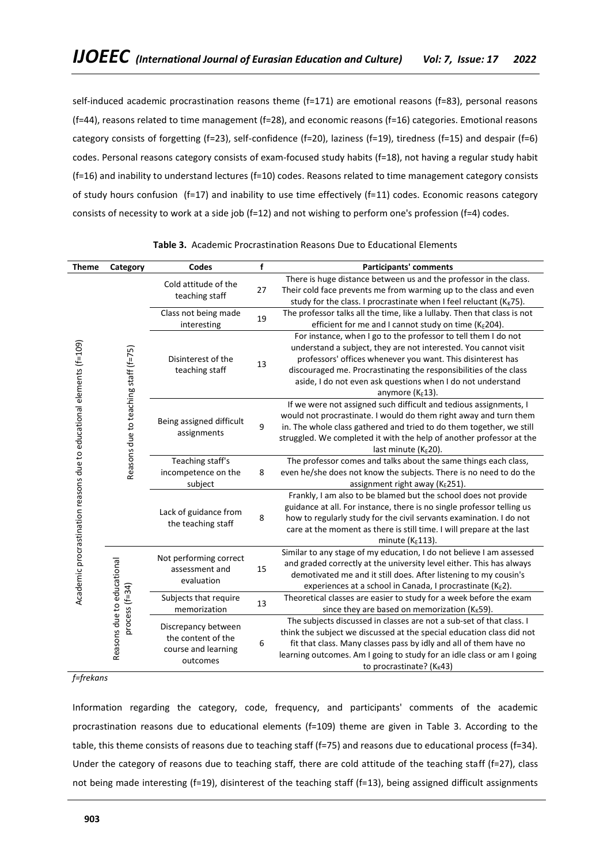self-induced academic procrastination reasons theme (f=171) are emotional reasons (f=83), personal reasons (f=44), reasons related to time management (f=28), and economic reasons (f=16) categories. Emotional reasons category consists of forgetting (f=23), self-confidence (f=20), laziness (f=19), tiredness (f=15) and despair (f=6) codes. Personal reasons category consists of exam-focused study habits (f=18), not having a regular study habit (f=16) and inability to understand lectures (f=10) codes. Reasons related to time management category consists of study hours confusion (f=17) and inability to use time effectively (f=11) codes. Economic reasons category consists of necessity to work at a side job (f=12) and not wishing to perform one's profession (f=4) codes.

| <b>Theme</b>                                                         | Category                             | <b>Codes</b>                                                                 | $\mathbf f$ | <b>Participants' comments</b>                                                                                                                                                                                                                                                                                                                                |
|----------------------------------------------------------------------|--------------------------------------|------------------------------------------------------------------------------|-------------|--------------------------------------------------------------------------------------------------------------------------------------------------------------------------------------------------------------------------------------------------------------------------------------------------------------------------------------------------------------|
|                                                                      |                                      | Cold attitude of the<br>teaching staff                                       | 27          | There is huge distance between us and the professor in the class.<br>Their cold face prevents me from warming up to the class and even<br>study for the class. I procrastinate when I feel reluctant (K <sub>K</sub> 75).                                                                                                                                    |
|                                                                      |                                      | Class not being made                                                         |             | The professor talks all the time, like a lullaby. Then that class is not                                                                                                                                                                                                                                                                                     |
|                                                                      |                                      | interesting                                                                  | 19          | efficient for me and I cannot study on time (KE204).                                                                                                                                                                                                                                                                                                         |
|                                                                      |                                      | Disinterest of the<br>teaching staff                                         | 13          | For instance, when I go to the professor to tell them I do not<br>understand a subject, they are not interested. You cannot visit<br>professors' offices whenever you want. This disinterest has<br>discouraged me. Procrastinating the responsibilities of the class<br>aside, I do not even ask questions when I do not understand<br>anymore ( $K_E$ 13). |
|                                                                      | Reasons due to teaching staff (f=75) | Being assigned difficult<br>assignments                                      | 9           | If we were not assigned such difficult and tedious assignments, I<br>would not procrastinate. I would do them right away and turn them<br>in. The whole class gathered and tried to do them together, we still<br>struggled. We completed it with the help of another professor at the<br>last minute ( $K_E$ 20).                                           |
|                                                                      |                                      | Teaching staff's                                                             |             | The professor comes and talks about the same things each class,                                                                                                                                                                                                                                                                                              |
|                                                                      |                                      | incompetence on the<br>subject                                               | 8           | even he/she does not know the subjects. There is no need to do the<br>assignment right away (KE251).                                                                                                                                                                                                                                                         |
| Academic procrastination reasons due to educational elements (f=109) |                                      | Lack of guidance from<br>the teaching staff                                  | 8           | Frankly, I am also to be blamed but the school does not provide<br>guidance at all. For instance, there is no single professor telling us<br>how to regularly study for the civil servants examination. I do not<br>care at the moment as there is still time. I will prepare at the last<br>minute ( $K_E$ 113).                                            |
|                                                                      |                                      | Not performing correct<br>assessment and<br>evaluation                       | 15          | Similar to any stage of my education, I do not believe I am assessed<br>and graded correctly at the university level either. This has always<br>demotivated me and it still does. After listening to my cousin's<br>experiences at a school in Canada, I procrastinate ( $K_{E}2$ ).                                                                         |
|                                                                      | process $(f=34)$                     | Subjects that require<br>memorization                                        | 13          | Theoretical classes are easier to study for a week before the exam<br>since they are based on memorization ( $K_K$ 59).                                                                                                                                                                                                                                      |
|                                                                      | Reasons due to educational           | Discrepancy between<br>the content of the<br>course and learning<br>outcomes | 6           | The subjects discussed in classes are not a sub-set of that class. I<br>think the subject we discussed at the special education class did not<br>fit that class. Many classes pass by idly and all of them have no<br>learning outcomes. Am I going to study for an idle class or am I going<br>to procrastinate? ( $K_K$ 43)                                |

| <b>Table 3.</b> Academic Procrastination Reasons Due to Educational Elements |
|------------------------------------------------------------------------------|
|------------------------------------------------------------------------------|

## *f=frekans*

Information regarding the category, code, frequency, and participants' comments of the academic procrastination reasons due to educational elements (f=109) theme are given in Table 3. According to the table, this theme consists of reasons due to teaching staff (f=75) and reasons due to educational process (f=34). Under the category of reasons due to teaching staff, there are cold attitude of the teaching staff (f=27), class not being made interesting (f=19), disinterest of the teaching staff (f=13), being assigned difficult assignments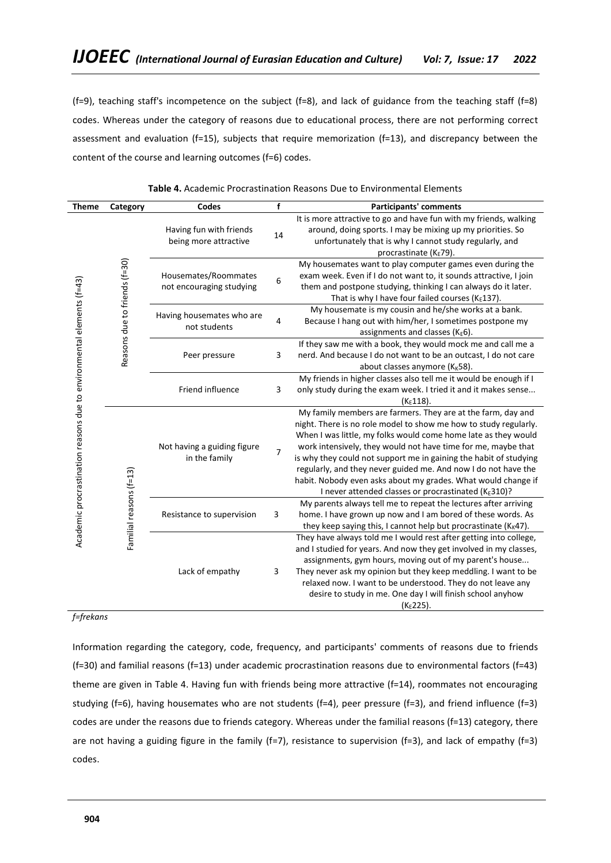(f=9), teaching staff's incompetence on the subject (f=8), and lack of guidance from the teaching staff (f=8) codes. Whereas under the category of reasons due to educational process, there are not performing correct assessment and evaluation (f=15), subjects that require memorization (f=13), and discrepancy between the content of the course and learning outcomes (f=6) codes.

| <b>Theme</b>                                                          | Category                      | Codes                                            | f  | <b>Participants' comments</b>                                                                                                                                                                                                                                                                                                                                                                                                                                                                                                      |
|-----------------------------------------------------------------------|-------------------------------|--------------------------------------------------|----|------------------------------------------------------------------------------------------------------------------------------------------------------------------------------------------------------------------------------------------------------------------------------------------------------------------------------------------------------------------------------------------------------------------------------------------------------------------------------------------------------------------------------------|
|                                                                       |                               | Having fun with friends<br>being more attractive | 14 | It is more attractive to go and have fun with my friends, walking<br>around, doing sports. I may be mixing up my priorities. So<br>unfortunately that is why I cannot study regularly, and<br>procrastinate (KE79).                                                                                                                                                                                                                                                                                                                |
|                                                                       | Reasons due to friends (f=30) | Housemates/Roommates<br>not encouraging studying | 6  | My housemates want to play computer games even during the<br>exam week. Even if I do not want to, it sounds attractive, I join<br>them and postpone studying, thinking I can always do it later.<br>That is why I have four failed courses ( $K_E$ 137).                                                                                                                                                                                                                                                                           |
|                                                                       |                               | Having housemates who are<br>not students        | 4  | My housemate is my cousin and he/she works at a bank.<br>Because I hang out with him/her, I sometimes postpone my<br>assignments and classes (KE6).                                                                                                                                                                                                                                                                                                                                                                                |
|                                                                       |                               | Peer pressure                                    | 3  | If they saw me with a book, they would mock me and call me a<br>nerd. And because I do not want to be an outcast, I do not care<br>about classes anymore ( $K_K$ 58).                                                                                                                                                                                                                                                                                                                                                              |
|                                                                       |                               | Friend influence                                 | 3  | My friends in higher classes also tell me it would be enough if I<br>only study during the exam week. I tried it and it makes sense<br>$(K_E 118)$ .                                                                                                                                                                                                                                                                                                                                                                               |
| Academic procrastination reasons due to environmental elements (f=43) |                               | Not having a guiding figure<br>in the family     | 7  | My family members are farmers. They are at the farm, day and<br>night. There is no role model to show me how to study regularly.<br>When I was little, my folks would come home late as they would<br>work intensively, they would not have time for me, maybe that<br>is why they could not support me in gaining the habit of studying<br>regularly, and they never guided me. And now I do not have the<br>habit. Nobody even asks about my grades. What would change if<br>I never attended classes or procrastinated (KE310)? |
|                                                                       | Familial reasons (f=13)       | Resistance to supervision                        | 3  | My parents always tell me to repeat the lectures after arriving<br>home. I have grown up now and I am bored of these words. As<br>they keep saying this, I cannot help but procrastinate ( $K_K$ 47).                                                                                                                                                                                                                                                                                                                              |
|                                                                       |                               | Lack of empathy                                  | 3  | They have always told me I would rest after getting into college,<br>and I studied for years. And now they get involved in my classes,<br>assignments, gym hours, moving out of my parent's house<br>They never ask my opinion but they keep meddling. I want to be<br>relaxed now. I want to be understood. They do not leave any<br>desire to study in me. One day I will finish school anyhow<br>(KE225).                                                                                                                       |

**Table 4.** Academic Procrastination Reasons Due to Environmental Elements

# *f=frekans*

Information regarding the category, code, frequency, and participants' comments of reasons due to friends (f=30) and familial reasons (f=13) under academic procrastination reasons due to environmental factors (f=43) theme are given in Table 4. Having fun with friends being more attractive (f=14), roommates not encouraging studying (f=6), having housemates who are not students (f=4), peer pressure (f=3), and friend influence (f=3) codes are under the reasons due to friends category. Whereas under the familial reasons (f=13) category, there are not having a guiding figure in the family (f=7), resistance to supervision (f=3), and lack of empathy (f=3) codes.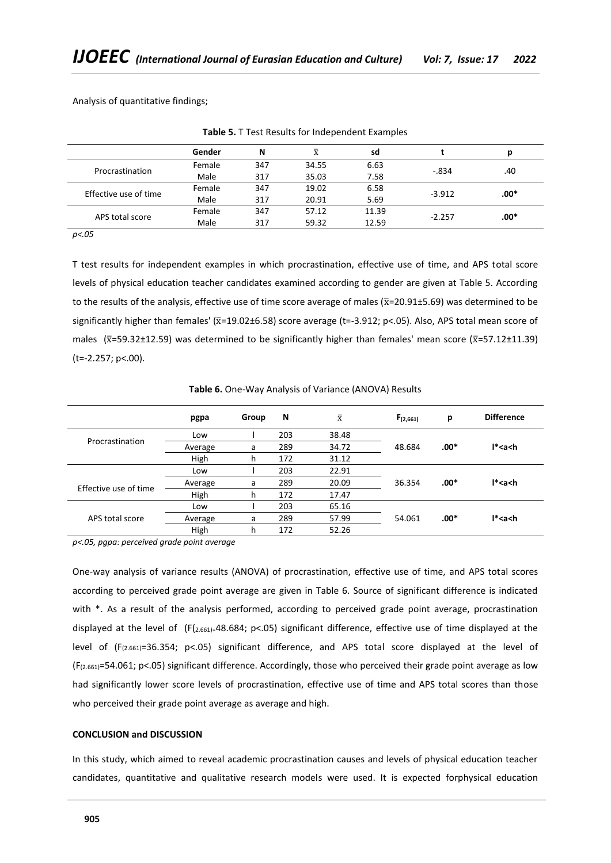Analysis of quantitative findings;

|                       | Gender | N   | $\bar{\text{x}}$ | sd    |          |      |
|-----------------------|--------|-----|------------------|-------|----------|------|
| Procrastination       | Female | 347 | 34.55            | 6.63  |          | .40  |
|                       | Male   | 317 | 35.03            | 7.58  | $-.834$  |      |
| Effective use of time | Female | 347 | 19.02            | 6.58  |          | :00* |
|                       | Male   | 317 | 20.91            | 5.69  | $-3.912$ |      |
| APS total score       | Female | 347 | 57.12            | 11.39 |          | :00* |
|                       | Male   | 317 | 59.32            | 12.59 | $-2.257$ |      |

**Table 5.** T Test Results for Independent Examples

*p<.05*

T test results for independent examples in which procrastination, effective use of time, and APS total score levels of physical education teacher candidates examined according to gender are given at Table 5. According to the results of the analysis, effective use of time score average of males ( $\bar{x}$ =20.91±5.69) was determined to be significantly higher than females' ( $\bar{x}$ =19.02±6.58) score average (t=-3.912; p<.05). Also, APS total mean score of males ( $\bar{x}$ =59.32±12.59) was determined to be significantly higher than females' mean score ( $\bar{x}$ =57.12±11.39) (t=-2.257; p<.00).

|                       | pgpa    | Group | N   | $\overline{\mathbf{x}}$ | $F_{(2,661)}$ | p      | <b>Difference</b> |
|-----------------------|---------|-------|-----|-------------------------|---------------|--------|-------------------|
|                       | Low     |       | 203 | 38.48                   |               |        |                   |
| Procrastination       | Average | a     | 289 | 34.72                   | 48.684        | $.00*$ | $I*aa$            |
|                       | High    | h     | 172 | 31.12                   |               |        |                   |
|                       | Low     |       | 203 | 22.91                   |               |        |                   |
| Effective use of time | Average | a     | 289 | 20.09                   | 36.354        | $.00*$ | $I*aa$            |
|                       | High    | h     | 172 | 17.47                   |               |        |                   |
|                       | Low     |       | 203 | 65.16                   |               |        |                   |
| APS total score       | Average | a     | 289 | 57.99                   | 54.061        | $.00*$ | $I*aa$            |
|                       | High    | h     | 172 | 52.26                   |               |        |                   |

**Table 6.** One-Way Analysis of Variance (ANOVA) Results

*p<.05, pgpa: perceived grade point average* 

One-way analysis of variance results (ANOVA) of procrastination, effective use of time, and APS total scores according to perceived grade point average are given in Table 6. Source of significant difference is indicated with \*. As a result of the analysis performed, according to perceived grade point average, procrastination displayed at the level of  $(F_{(2.661)}=48.684; p<.05)$  significant difference, effective use of time displayed at the level of (F(2.661)=36.354; p<.05) significant difference, and APS total score displayed at the level of (F(2.661)=54.061; p<.05) significant difference. Accordingly, those who perceived their grade point average as low had significantly lower score levels of procrastination, effective use of time and APS total scores than those who perceived their grade point average as average and high.

## **CONCLUSION and DISCUSSION**

In this study, which aimed to reveal academic procrastination causes and levels of physical education teacher candidates, quantitative and qualitative research models were used. It is expected forphysical education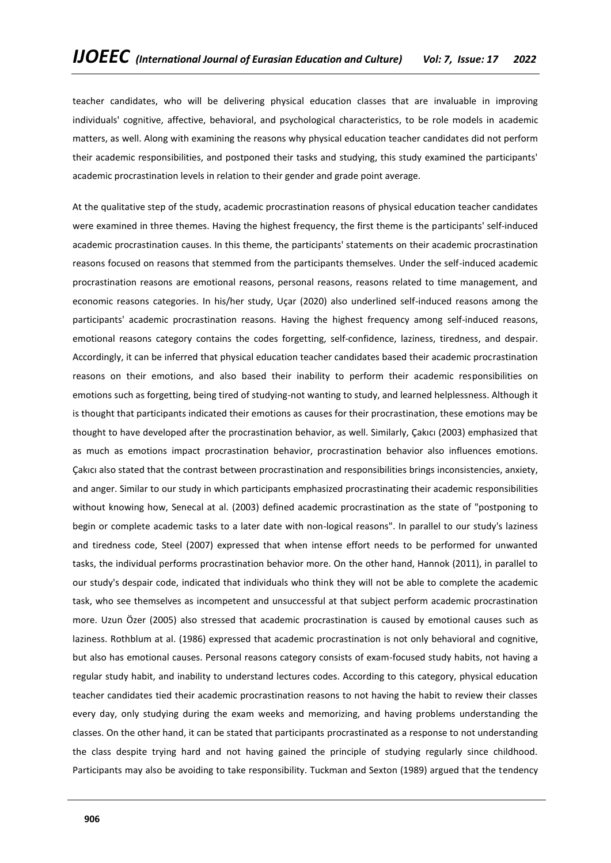teacher candidates, who will be delivering physical education classes that are invaluable in improving individuals' cognitive, affective, behavioral, and psychological characteristics, to be role models in academic matters, as well. Along with examining the reasons why physical education teacher candidates did not perform their academic responsibilities, and postponed their tasks and studying, this study examined the participants' academic procrastination levels in relation to their gender and grade point average.

At the qualitative step of the study, academic procrastination reasons of physical education teacher candidates were examined in three themes. Having the highest frequency, the first theme is the participants' self-induced academic procrastination causes. In this theme, the participants' statements on their academic procrastination reasons focused on reasons that stemmed from the participants themselves. Under the self-induced academic procrastination reasons are emotional reasons, personal reasons, reasons related to time management, and economic reasons categories. In his/her study, Uçar (2020) also underlined self-induced reasons among the participants' academic procrastination reasons. Having the highest frequency among self-induced reasons, emotional reasons category contains the codes forgetting, self-confidence, laziness, tiredness, and despair. Accordingly, it can be inferred that physical education teacher candidates based their academic procrastination reasons on their emotions, and also based their inability to perform their academic responsibilities on emotions such as forgetting, being tired of studying-not wanting to study, and learned helplessness. Although it is thought that participants indicated their emotions as causes for their procrastination, these emotions may be thought to have developed after the procrastination behavior, as well. Similarly, Çakıcı (2003) emphasized that as much as emotions impact procrastination behavior, procrastination behavior also influences emotions. Çakıcı also stated that the contrast between procrastination and responsibilities brings inconsistencies, anxiety, and anger. Similar to our study in which participants emphasized procrastinating their academic responsibilities without knowing how, Senecal at al. (2003) defined academic procrastination as the state of "postponing to begin or complete academic tasks to a later date with non-logical reasons". In parallel to our study's laziness and tiredness code, Steel (2007) expressed that when intense effort needs to be performed for unwanted tasks, the individual performs procrastination behavior more. On the other hand, Hannok (2011), in parallel to our study's despair code, indicated that individuals who think they will not be able to complete the academic task, who see themselves as incompetent and unsuccessful at that subject perform academic procrastination more. Uzun Özer (2005) also stressed that academic procrastination is caused by emotional causes such as laziness. Rothblum at al. (1986) expressed that academic procrastination is not only behavioral and cognitive, but also has emotional causes. Personal reasons category consists of exam-focused study habits, not having a regular study habit, and inability to understand lectures codes. According to this category, physical education teacher candidates tied their academic procrastination reasons to not having the habit to review their classes every day, only studying during the exam weeks and memorizing, and having problems understanding the classes. On the other hand, it can be stated that participants procrastinated as a response to not understanding the class despite trying hard and not having gained the principle of studying regularly since childhood. Participants may also be avoiding to take responsibility. Tuckman and Sexton (1989) argued that the tendency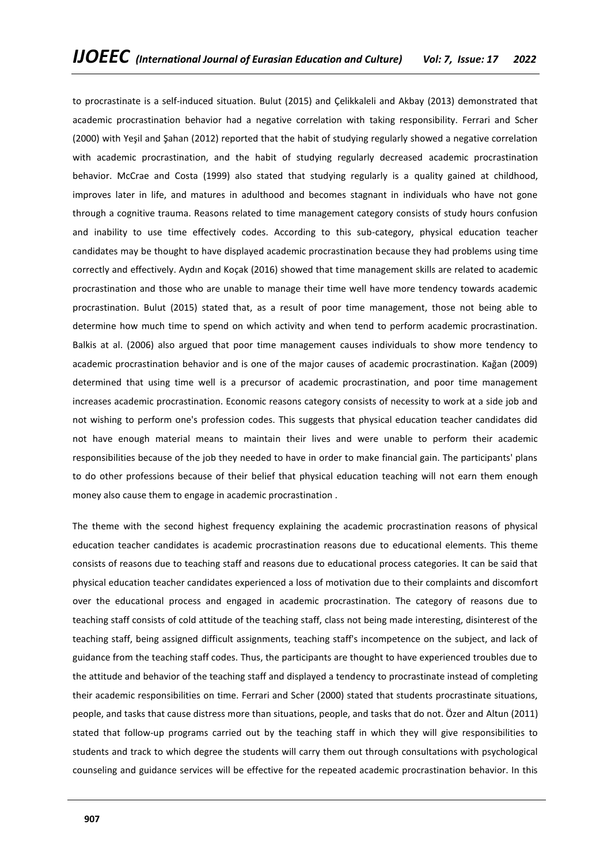to procrastinate is a self-induced situation. Bulut (2015) and Çelikkaleli and Akbay (2013) demonstrated that academic procrastination behavior had a negative correlation with taking responsibility. Ferrari and Scher (2000) with Yeşil and Şahan (2012) reported that the habit of studying regularly showed a negative correlation with academic procrastination, and the habit of studying regularly decreased academic procrastination behavior. McCrae and Costa (1999) also stated that studying regularly is a quality gained at childhood, improves later in life, and matures in adulthood and becomes stagnant in individuals who have not gone through a cognitive trauma. Reasons related to time management category consists of study hours confusion and inability to use time effectively codes. According to this sub-category, physical education teacher candidates may be thought to have displayed academic procrastination because they had problems using time correctly and effectively. Aydın and Koçak (2016) showed that time management skills are related to academic procrastination and those who are unable to manage their time well have more tendency towards academic procrastination. Bulut (2015) stated that, as a result of poor time management, those not being able to determine how much time to spend on which activity and when tend to perform academic procrastination. Balkis at al. (2006) also argued that poor time management causes individuals to show more tendency to academic procrastination behavior and is one of the major causes of academic procrastination. Kağan (2009) determined that using time well is a precursor of academic procrastination, and poor time management increases academic procrastination. Economic reasons category consists of necessity to work at a side job and not wishing to perform one's profession codes. This suggests that physical education teacher candidates did not have enough material means to maintain their lives and were unable to perform their academic responsibilities because of the job they needed to have in order to make financial gain. The participants' plans to do other professions because of their belief that physical education teaching will not earn them enough money also cause them to engage in academic procrastination .

The theme with the second highest frequency explaining the academic procrastination reasons of physical education teacher candidates is academic procrastination reasons due to educational elements. This theme consists of reasons due to teaching staff and reasons due to educational process categories. It can be said that physical education teacher candidates experienced a loss of motivation due to their complaints and discomfort over the educational process and engaged in academic procrastination. The category of reasons due to teaching staff consists of cold attitude of the teaching staff, class not being made interesting, disinterest of the teaching staff, being assigned difficult assignments, teaching staff's incompetence on the subject, and lack of guidance from the teaching staff codes. Thus, the participants are thought to have experienced troubles due to the attitude and behavior of the teaching staff and displayed a tendency to procrastinate instead of completing their academic responsibilities on time. Ferrari and Scher (2000) stated that students procrastinate situations, people, and tasks that cause distress more than situations, people, and tasks that do not. Özer and Altun (2011) stated that follow-up programs carried out by the teaching staff in which they will give responsibilities to students and track to which degree the students will carry them out through consultations with psychological counseling and guidance services will be effective for the repeated academic procrastination behavior. In this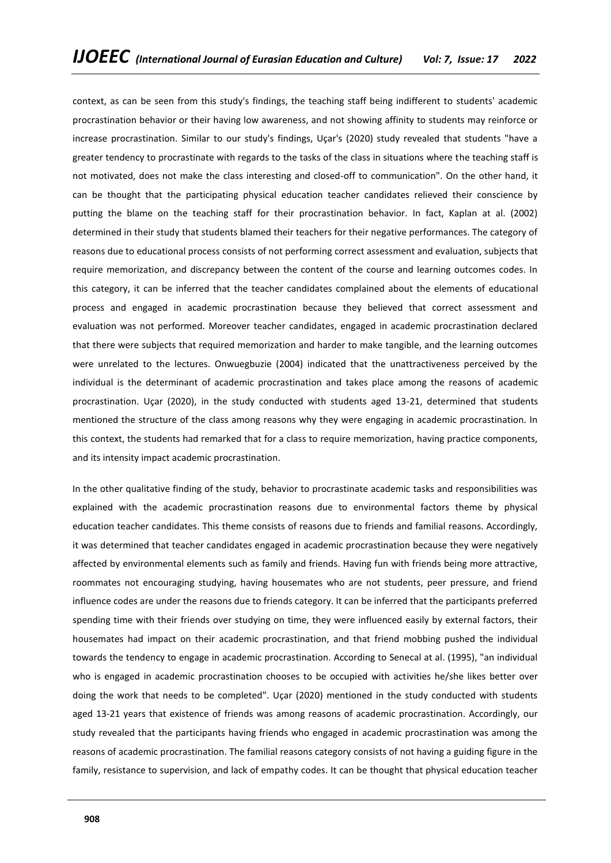context, as can be seen from this study's findings, the teaching staff being indifferent to students' academic procrastination behavior or their having low awareness, and not showing affinity to students may reinforce or increase procrastination. Similar to our study's findings, Uçar's (2020) study revealed that students "have a greater tendency to procrastinate with regards to the tasks of the class in situations where the teaching staff is not motivated, does not make the class interesting and closed-off to communication". On the other hand, it can be thought that the participating physical education teacher candidates relieved their conscience by putting the blame on the teaching staff for their procrastination behavior. In fact, Kaplan at al. (2002) determined in their study that students blamed their teachers for their negative performances. The category of reasons due to educational process consists of not performing correct assessment and evaluation, subjects that require memorization, and discrepancy between the content of the course and learning outcomes codes. In this category, it can be inferred that the teacher candidates complained about the elements of educational process and engaged in academic procrastination because they believed that correct assessment and evaluation was not performed. Moreover teacher candidates, engaged in academic procrastination declared that there were subjects that required memorization and harder to make tangible, and the learning outcomes were unrelated to the lectures. Onwuegbuzie (2004) indicated that the unattractiveness perceived by the individual is the determinant of academic procrastination and takes place among the reasons of academic procrastination. Uçar (2020), in the study conducted with students aged 13-21, determined that students mentioned the structure of the class among reasons why they were engaging in academic procrastination. In this context, the students had remarked that for a class to require memorization, having practice components, and its intensity impact academic procrastination.

In the other qualitative finding of the study, behavior to procrastinate academic tasks and responsibilities was explained with the academic procrastination reasons due to environmental factors theme by physical education teacher candidates. This theme consists of reasons due to friends and familial reasons. Accordingly, it was determined that teacher candidates engaged in academic procrastination because they were negatively affected by environmental elements such as family and friends. Having fun with friends being more attractive, roommates not encouraging studying, having housemates who are not students, peer pressure, and friend influence codes are under the reasons due to friends category. It can be inferred that the participants preferred spending time with their friends over studying on time, they were influenced easily by external factors, their housemates had impact on their academic procrastination, and that friend mobbing pushed the individual towards the tendency to engage in academic procrastination. According to Senecal at al. (1995), "an individual who is engaged in academic procrastination chooses to be occupied with activities he/she likes better over doing the work that needs to be completed". Uçar (2020) mentioned in the study conducted with students aged 13-21 years that existence of friends was among reasons of academic procrastination. Accordingly, our study revealed that the participants having friends who engaged in academic procrastination was among the reasons of academic procrastination. The familial reasons category consists of not having a guiding figure in the family, resistance to supervision, and lack of empathy codes. It can be thought that physical education teacher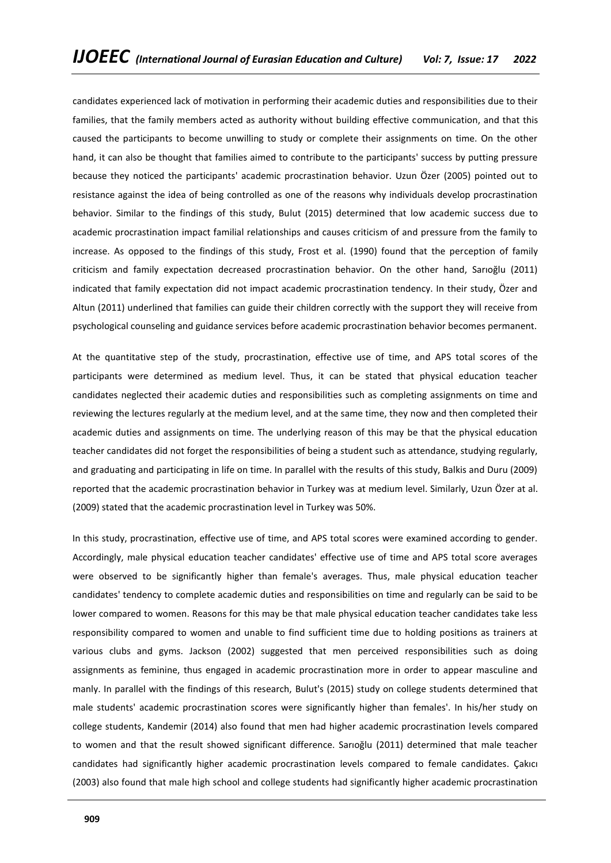candidates experienced lack of motivation in performing their academic duties and responsibilities due to their families, that the family members acted as authority without building effective communication, and that this caused the participants to become unwilling to study or complete their assignments on time. On the other hand, it can also be thought that families aimed to contribute to the participants' success by putting pressure because they noticed the participants' academic procrastination behavior. Uzun Özer (2005) pointed out to resistance against the idea of being controlled as one of the reasons why individuals develop procrastination behavior. Similar to the findings of this study, Bulut (2015) determined that low academic success due to academic procrastination impact familial relationships and causes criticism of and pressure from the family to increase. As opposed to the findings of this study, Frost et al. (1990) found that the perception of family criticism and family expectation decreased procrastination behavior. On the other hand, Sarıoğlu (2011) indicated that family expectation did not impact academic procrastination tendency. In their study, Özer and Altun (2011) underlined that families can guide their children correctly with the support they will receive from psychological counseling and guidance services before academic procrastination behavior becomes permanent.

At the quantitative step of the study, procrastination, effective use of time, and APS total scores of the participants were determined as medium level. Thus, it can be stated that physical education teacher candidates neglected their academic duties and responsibilities such as completing assignments on time and reviewing the lectures regularly at the medium level, and at the same time, they now and then completed their academic duties and assignments on time. The underlying reason of this may be that the physical education teacher candidates did not forget the responsibilities of being a student such as attendance, studying regularly, and graduating and participating in life on time. In parallel with the results of this study, Balkis and Duru (2009) reported that the academic procrastination behavior in Turkey was at medium level. Similarly, Uzun Özer at al. (2009) stated that the academic procrastination level in Turkey was 50%.

In this study, procrastination, effective use of time, and APS total scores were examined according to gender. Accordingly, male physical education teacher candidates' effective use of time and APS total score averages were observed to be significantly higher than female's averages. Thus, male physical education teacher candidates' tendency to complete academic duties and responsibilities on time and regularly can be said to be lower compared to women. Reasons for this may be that male physical education teacher candidates take less responsibility compared to women and unable to find sufficient time due to holding positions as trainers at various clubs and gyms. Jackson (2002) suggested that men perceived responsibilities such as doing assignments as feminine, thus engaged in academic procrastination more in order to appear masculine and manly. In parallel with the findings of this research, Bulut's (2015) study on college students determined that male students' academic procrastination scores were significantly higher than females'. In his/her study on college students, Kandemir (2014) also found that men had higher academic procrastination levels compared to women and that the result showed significant difference. Sarıoğlu (2011) determined that male teacher candidates had significantly higher academic procrastination levels compared to female candidates. Çakıcı (2003) also found that male high school and college students had significantly higher academic procrastination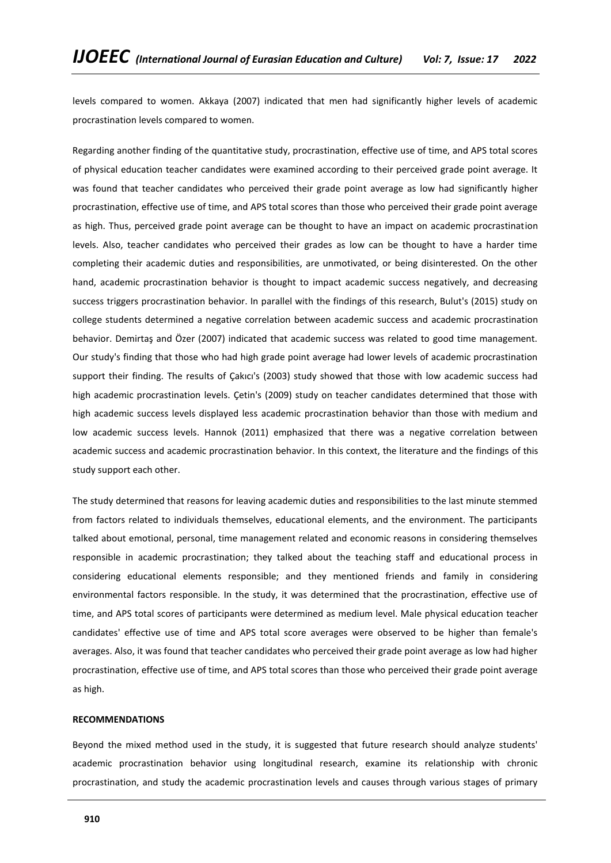levels compared to women. Akkaya (2007) indicated that men had significantly higher levels of academic procrastination levels compared to women.

Regarding another finding of the quantitative study, procrastination, effective use of time, and APS total scores of physical education teacher candidates were examined according to their perceived grade point average. It was found that teacher candidates who perceived their grade point average as low had significantly higher procrastination, effective use of time, and APS total scores than those who perceived their grade point average as high. Thus, perceived grade point average can be thought to have an impact on academic procrastination levels. Also, teacher candidates who perceived their grades as low can be thought to have a harder time completing their academic duties and responsibilities, are unmotivated, or being disinterested. On the other hand, academic procrastination behavior is thought to impact academic success negatively, and decreasing success triggers procrastination behavior. In parallel with the findings of this research, Bulut's (2015) study on college students determined a negative correlation between academic success and academic procrastination behavior. Demirtaş and Özer (2007) indicated that academic success was related to good time management. Our study's finding that those who had high grade point average had lower levels of academic procrastination support their finding. The results of Çakıcı's (2003) study showed that those with low academic success had high academic procrastination levels. Çetin's (2009) study on teacher candidates determined that those with high academic success levels displayed less academic procrastination behavior than those with medium and low academic success levels. Hannok (2011) emphasized that there was a negative correlation between academic success and academic procrastination behavior. In this context, the literature and the findings of this study support each other.

The study determined that reasons for leaving academic duties and responsibilities to the last minute stemmed from factors related to individuals themselves, educational elements, and the environment. The participants talked about emotional, personal, time management related and economic reasons in considering themselves responsible in academic procrastination; they talked about the teaching staff and educational process in considering educational elements responsible; and they mentioned friends and family in considering environmental factors responsible. In the study, it was determined that the procrastination, effective use of time, and APS total scores of participants were determined as medium level. Male physical education teacher candidates' effective use of time and APS total score averages were observed to be higher than female's averages. Also, it was found that teacher candidates who perceived their grade point average as low had higher procrastination, effective use of time, and APS total scores than those who perceived their grade point average as high.

### **RECOMMENDATIONS**

Beyond the mixed method used in the study, it is suggested that future research should analyze students' academic procrastination behavior using longitudinal research, examine its relationship with chronic procrastination, and study the academic procrastination levels and causes through various stages of primary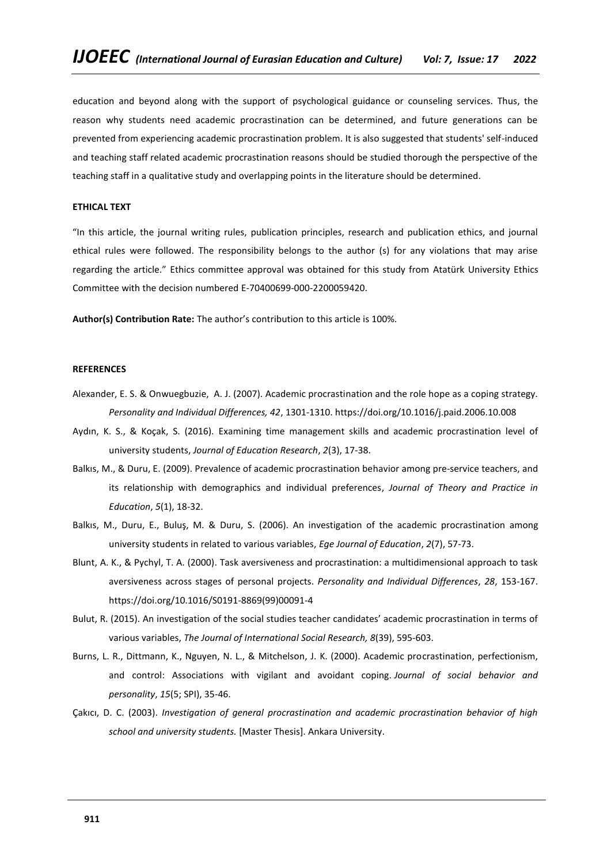education and beyond along with the support of psychological guidance or counseling services. Thus, the reason why students need academic procrastination can be determined, and future generations can be prevented from experiencing academic procrastination problem. It is also suggested that students' self-induced and teaching staff related academic procrastination reasons should be studied thorough the perspective of the teaching staff in a qualitative study and overlapping points in the literature should be determined.

## **ETHICAL TEXT**

"In this article, the journal writing rules, publication principles, research and publication ethics, and journal ethical rules were followed. The responsibility belongs to the author (s) for any violations that may arise regarding the article." Ethics committee approval was obtained for this study from Atatürk University Ethics Committee with the decision numbered E-70400699-000-2200059420.

**Author(s) Contribution Rate:** The author's contribution to this article is 100%.

## **REFERENCES**

- Alexander, E. S. & Onwuegbuzie, A. J. (2007). Academic procrastination and the role hope as a coping strategy. *Personality and Individual Differences, 42*, 1301-1310[. https://doi.org/10.1016/j.paid.2006.10.008](https://doi.org/10.1016/j.paid.2006.10.008)
- Aydın, K. S., & Koçak, S. (2016). Examining time management skills and academic procrastination level of university students, *Journal of Education Research*, *2*(3), 17-38.
- Balkıs, M., & Duru, E. (2009). Prevalence of academic procrastination behavior among pre-service teachers, and its relationship with demographics and individual preferences, *Journal of Theory and Practice in Education*, *5*(1), 18-32.
- Balkıs, M., Duru, E., Buluş, M. & Duru, S. (2006). An investigation of the academic procrastination among university students in related to various variables, *Ege Journal of Education*, *2*(7), 57-73.
- Blunt, A. K., & Pychyl, T. A. (2000). Task aversiveness and procrastination: a multidimensional approach to task aversiveness across stages of personal projects. *Personality and Individual Differences*, *28*, 153-167. [https://doi.org/10.1016/S0191-8869\(99\)00091-4](https://doi.org/10.1016/S0191-8869(99)00091-4)
- Bulut, R. (2015). An investigation of the social studies teacher candidates' academic procrastination in terms of various variables, *The Journal of International Social Research, 8*(39), 595-603.
- Burns, L. R., Dittmann, K., Nguyen, N. L., & Mitchelson, J. K. (2000). Academic procrastination, perfectionism, and control: Associations with vigilant and avoidant coping. *Journal of social behavior and personality*, *15*(5; SPI), 35-46.
- Çakıcı, D. C. (2003). *Investigation of general procrastination and academic procrastination behavior of high school and university students.* [Master Thesis]. Ankara University.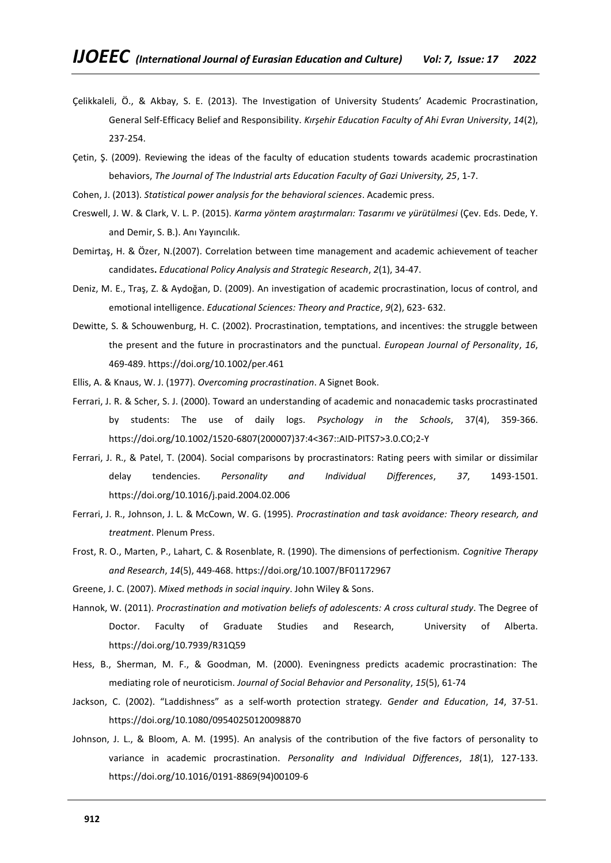- Çelikkaleli, Ö., & Akbay, S. E. (2013). The Investigation of University Students' Academic Procrastination, General Self-Efficacy Belief and Responsibility. *Kırşehir Education Faculty of Ahi Evran University*, *14*(2), 237-254.
- Çetin, Ş. (2009). Reviewing the ideas of the faculty of education students towards academic procrastination behaviors, *The Journal of The Industrial arts Education Faculty of Gazi University, 25*, 1-7.
- Cohen, J. (2013). *Statistical power analysis for the behavioral sciences*. Academic press.
- Creswell, J. W. & Clark, V. L. P. (2015). *Karma yöntem araştırmaları: Tasarımı ve yürütülmesi* (Çev. Eds. Dede, Y. and Demir, S. B.). Anı Yayıncılık.
- Demirtaş, H. & Özer, N.(2007). Correlation between time management and academic achievement of teacher candidates**.** *Educational Policy Analysis and Strategic Research*, *2*(1), 34-47.
- Deniz, M. E., Traş, Z. & Aydoğan, D. (2009). An investigation of academic procrastination, locus of control, and emotional intelligence. *Educational Sciences: Theory and Practice*, *9*(2), 623- 632.
- Dewitte, S. & Schouwenburg, H. C. (2002). Procrastination, temptations, and incentives: the struggle between the present and the future in procrastinators and the punctual. *European Journal of Personality*, *16*, 469-489[. https://doi.org/10.1002/per.461](https://doi.org/10.1002/per.461)
- Ellis, A. & Knaus, W. J. (1977). *Overcoming procrastination*. A Signet Book.
- Ferrari, J. R. & Scher, S. J. (2000). Toward an understanding of academic and nonacademic tasks procrastinated by students: The use of daily logs. *Psychology in the Schools*, 37(4), 359-366. [https://doi.org/10.1002/1520-6807\(200007\)37:4<367::AID-PITS7>3.0.CO;2-Y](https://doi.org/10.1002/1520-6807(200007)37:4%3C367::AID-PITS7%3E3.0.CO;2-Y)
- Ferrari, J. R., & Patel, T. (2004). Social comparisons by procrastinators: Rating peers with similar or dissimilar delay tendencies. *Personality and Individual Differences*, *37*, 1493-1501. <https://doi.org/10.1016/j.paid.2004.02.006>
- Ferrari, J. R., Johnson, J. L. & McCown, W. G. (1995). *Procrastination and task avoidance: Theory research, and treatment*. Plenum Press.
- Frost, R. O., Marten, P., Lahart, C. & Rosenblate, R. (1990). The dimensions of perfectionism. *Cognitive Therapy and Research*, *14*(5), 449-468.<https://doi.org/10.1007/BF01172967>
- Greene, J. C. (2007). *Mixed methods in social inquiry*. John Wiley & Sons.
- Hannok, W. (2011). *Procrastination and motivation beliefs of adolescents: A cross cultural study*. The Degree of Doctor. Faculty of [Graduate Studies and Research,](https://era.library.ualberta.ca/communities/db9a4e71-f809-4385-a274-048f28eb6814) University of Alberta. <https://doi.org/10.7939/R31Q59>
- Hess, B., Sherman, M. F., & Goodman, M. (2000). Eveningness predicts academic procrastination: The mediating role of neuroticism. *Journal of Social Behavior and Personality*, *15*(5), 61-74
- Jackson, C. (2002). "Laddishness" as a self-worth protection strategy*. Gender and Education*, *14*, 37-51. <https://doi.org/10.1080/09540250120098870>
- Johnson, J. L., & Bloom, A. M. (1995). An analysis of the contribution of the five factors of personality to variance in academic procrastination. *Personality and Individual Differences*, *18*(1), 127-133. [https://doi.org/10.1016/0191-8869\(94\)00109-6](https://doi.org/10.1016/0191-8869(94)00109-6)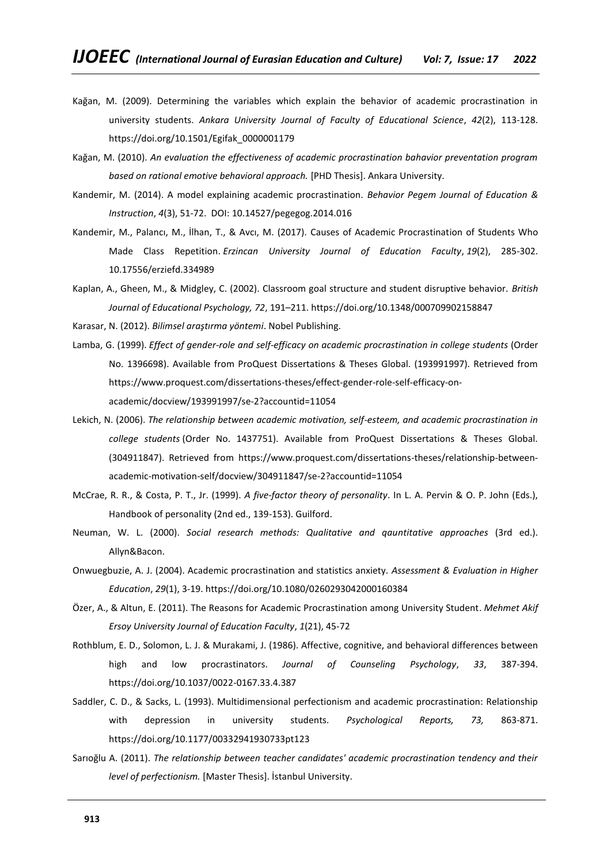- Kağan, M. (2009). Determining the variables which explain the behavior of academic procrastination in university students. *Ankara University Journal of Faculty of Educational Science*, *42*(2), 113-128. [https://doi.org/10.1501/Egifak\\_0000001179](https://doi.org/10.1501/Egifak_0000001179)
- Kağan, M. (2010). *An evaluation the effectiveness of academic procrastination bahavior preventation program based on rational emotive behavioral approach.* [PHD Thesis]. Ankara University.
- Kandemir, M. (2014). A model explaining academic procrastination. *Behavior Pegem Journal of Education & Instruction*, *4*(3), 51-72. DOI: 10.14527/pegegog.2014.016
- Kandemir, M., Palancı, M., İlhan, T., & Avcı, M. (2017). Causes of Academic Procrastination of Students Who Made Class Repetition. *Erzincan University Journal of Education Faculty*, *19*(2), 285-302. 10.17556/erziefd.334989
- Kaplan, A., Gheen, M., & Midgley, C. (2002). Classroom goal structure and student disruptive behavior. *British Journal of Educational Psychology, 72*, 191–211[. https://doi.org/10.1348/000709902158847](https://doi.org/10.1348/000709902158847)
- Karasar, N. (2012). *Bilimsel araştırma yöntemi*. Nobel Publishing.
- Lamba, G. (1999). *Effect of gender-role and self-efficacy on academic procrastination in college students* (Order No. 1396698). Available from ProQuest Dissertations & Theses Global. (193991997). Retrieved from [https://www.proquest.com/dissertations-theses/effect-gender-role-self-efficacy-on](https://www.proquest.com/dissertations-theses/effect-gender-role-self-efficacy-on-academic/docview/193991997/se-2?accountid=11054)[academic/docview/193991997/se-2?accountid=11054](https://www.proquest.com/dissertations-theses/effect-gender-role-self-efficacy-on-academic/docview/193991997/se-2?accountid=11054)
- Lekich, N. (2006). *The relationship between academic motivation, self-esteem, and academic procrastination in college students* (Order No. 1437751). Available from ProQuest Dissertations & Theses Global. (304911847). Retrieved from [https://www.proquest.com/dissertations-theses/relationship-between](https://www.proquest.com/dissertations-theses/relationship-between-academic-motivation-self/docview/304911847/se-2?accountid=11054)[academic-motivation-self/docview/304911847/se-2?accountid=11054](https://www.proquest.com/dissertations-theses/relationship-between-academic-motivation-self/docview/304911847/se-2?accountid=11054)
- McCrae, R. R., & Costa, P. T., Jr. (1999). *A five-factor theory of personality*. In L. A. Pervin & O. P. John (Eds.), Handbook of personality (2nd ed., 139-153). Guilford.
- Neuman, W. L. (2000). *Social research methods: Qualitative and qauntitative approaches* (3rd ed.). Allyn&Bacon.
- Onwuegbuzie, A. J. (2004). Academic procrastination and statistics anxiety. *Assessment & Evaluation in Higher Education*, *29*(1), 3-19[. https://doi.org/10.1080/0260293042000160384](https://doi.org/10.1080/0260293042000160384)
- Özer, A., & Altun, E. (2011). The Reasons for Academic Procrastination among University Student. *Mehmet Akif Ersoy University Journal of Education Faculty*, *1*(21), 45-72
- Rothblum, E. D., Solomon, L. J. & Murakami, J. (1986). Affective, cognitive, and behavioral differences between high and low procrastinators. *Journal of Counseling Psychology*, *33*, 387-394. [https://doi.org/10.1037/0022-0167.33.4.387](https://psycnet.apa.org/doi/10.1037/0022-0167.33.4.387)
- Saddler, C. D., & Sacks, L. (1993). Multidimensional perfectionism and academic procrastination: Relationship with depression in university students*. Psychological Reports, 73,* 863-871. [https://doi.org/10.1177/00332941930733pt123](https://doi.org/10.1177%2F00332941930733pt123)
- Sarıoğlu A. (2011). *The relationship between teacher candidates' academic procrastination tendency and their level of perfectionism.* [Master Thesis]. İstanbul University.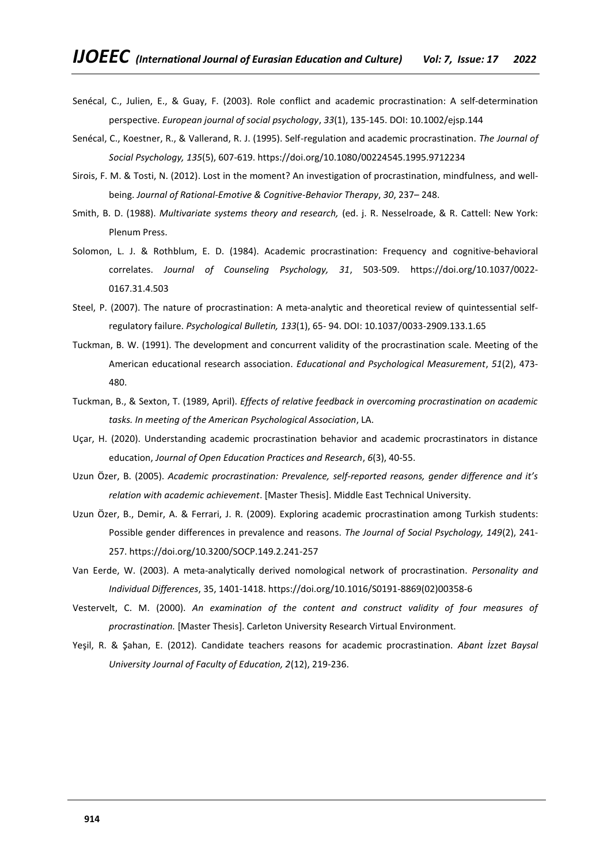- Senécal, C., Julien, E., & Guay, F. (2003). Role conflict and academic procrastination: A self-determination perspective. *European journal of social psychology*, *33*(1), 135-145. DOI: 10.1002/ejsp.144
- Senécal, C., Koestner, R., & Vallerand, R. J. (1995). Self-regulation and academic procrastination. *The Journal of Social Psychology, 135*(5), 607-619.<https://doi.org/10.1080/00224545.1995.9712234>
- Sirois, F. M. & Tosti, N. (2012). Lost in the moment? An investigation of procrastination, mindfulness, and wellbeing. *Journal of Rational-Emotive & Cognitive-Behavior Therapy*, *30*, 237– 248.
- Smith, B. D. (1988). *Multivariate systems theory and research,* (ed. j. R. Nesselroade, & R. Cattell: New York: Plenum Press.
- Solomon, L. J. & Rothblum, E. D. (1984). Academic procrastination: Frequency and cognitive-behavioral correlates. *Journal of Counseling Psychology, 31*, 503-509. [https://doi.org/10.1037/0022-](https://psycnet.apa.org/doi/10.1037/0022-0167.31.4.503) [0167.31.4.503](https://psycnet.apa.org/doi/10.1037/0022-0167.31.4.503)
- Steel, P. (2007). The nature of procrastination: A meta-analytic and theoretical review of quintessential selfregulatory failure. *Psychological Bulletin, 133*(1), 65- 94. DOI: 10.1037/0033-2909.133.1.65
- Tuckman, B. W. (1991). The development and concurrent validity of the procrastination scale. Meeting of the American educational research association. *Educational and Psychological Measurement*, *51*(2), 473- 480.
- Tuckman, B., & Sexton, T. (1989, April). *Effects of relative feedback in overcoming procrastination on academic tasks. In meeting of the American Psychological Association*, LA.
- Uçar, H. (2020). Understanding academic procrastination behavior and academic procrastinators in distance education, *Journal of Open Education Practices and Research*, *6*(3), 40-55.
- Uzun Özer, B. (2005). *Academic procrastination: Prevalence, self-reported reasons, gender difference and it's relation with academic achievement*. [Master Thesis]. Middle East Technical University.
- Uzun Özer, B., Demir, A. & Ferrari, J. R. (2009). Exploring academic procrastination among Turkish students: Possible gender differences in prevalence and reasons. *The Journal of Social Psychology, 149*(2), 241- 257. <https://doi.org/10.3200/SOCP.149.2.241-257>
- Van Eerde, W. (2003). A meta-analytically derived nomological network of procrastination. *Personality and Individual Differences*, 35, 1401-1418[. https://doi.org/10.1016/S0191-8869\(02\)00358-6](https://doi.org/10.1016/S0191-8869(02)00358-6)
- Vestervelt, C. M. (2000). *An examination of the content and construct validity of four measures of procrastination.* [Master Thesis]. Carleton University Research Virtual Environment.
- Yeşil, R. & Şahan, E. (2012). Candidate teachers reasons for academic procrastination. *Abant İzzet Baysal University Journal of Faculty of Education, 2*(12), 219-236.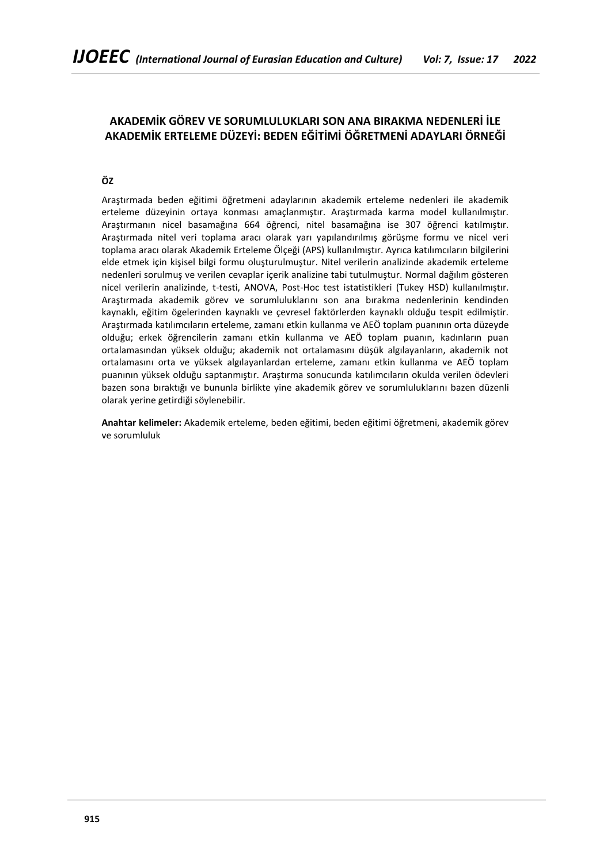# **AKADEMİK GÖREV VE SORUMLULUKLARI SON ANA BIRAKMA NEDENLERİ İLE AKADEMİK ERTELEME DÜZEYİ: BEDEN EĞİTİMİ ÖĞRETMENİ ADAYLARI ÖRNEĞİ**

# **ÖZ**

Araştırmada beden eğitimi öğretmeni adaylarının akademik erteleme nedenleri ile akademik erteleme düzeyinin ortaya konması amaçlanmıştır. Araştırmada karma model kullanılmıştır. Araştırmanın nicel basamağına 664 öğrenci, nitel basamağına ise 307 öğrenci katılmıştır. Araştırmada nitel veri toplama aracı olarak yarı yapılandırılmış görüşme formu ve nicel veri toplama aracı olarak Akademik Erteleme Ölçeği (APS) kullanılmıştır. Ayrıca katılımcıların bilgilerini elde etmek için kişisel bilgi formu oluşturulmuştur. Nitel verilerin analizinde akademik erteleme nedenleri sorulmuş ve verilen cevaplar içerik analizine tabi tutulmuştur. Normal dağılım gösteren nicel verilerin analizinde, t-testi, ANOVA, Post-Hoc test istatistikleri (Tukey HSD) kullanılmıştır. Araştırmada akademik görev ve sorumluluklarını son ana bırakma nedenlerinin kendinden kaynaklı, eğitim ögelerinden kaynaklı ve çevresel faktörlerden kaynaklı olduğu tespit edilmiştir. Araştırmada katılımcıların erteleme, zamanı etkin kullanma ve AEÖ toplam puanının orta düzeyde olduğu; erkek öğrencilerin zamanı etkin kullanma ve AEÖ toplam puanın, kadınların puan ortalamasından yüksek olduğu; akademik not ortalamasını düşük algılayanların, akademik not ortalamasını orta ve yüksek algılayanlardan erteleme, zamanı etkin kullanma ve AEÖ toplam puanının yüksek olduğu saptanmıştır. Araştırma sonucunda katılımcıların okulda verilen ödevleri bazen sona bıraktığı ve bununla birlikte yine akademik görev ve sorumluluklarını bazen düzenli olarak yerine getirdiği söylenebilir.

**Anahtar kelimeler:** Akademik erteleme, beden eğitimi, beden eğitimi öğretmeni, akademik görev ve sorumluluk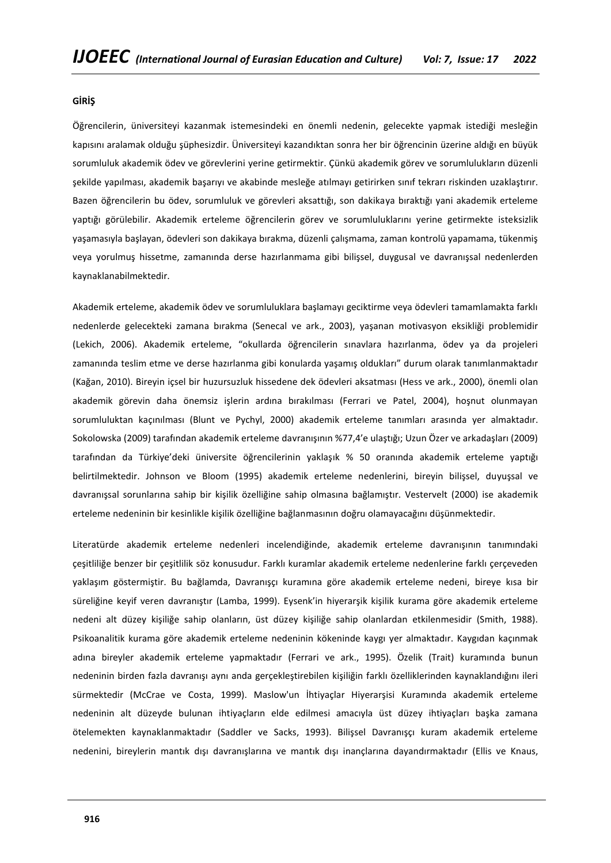### **GİRİŞ**

Öğrencilerin, üniversiteyi kazanmak istemesindeki en önemli nedenin, gelecekte yapmak istediği mesleğin kapısını aralamak olduğu şüphesizdir. Üniversiteyi kazandıktan sonra her bir öğrencinin üzerine aldığı en büyük sorumluluk akademik ödev ve görevlerini yerine getirmektir. Çünkü akademik görev ve sorumlulukların düzenli şekilde yapılması, akademik başarıyı ve akabinde mesleğe atılmayı getirirken sınıf tekrarı riskinden uzaklaştırır. Bazen öğrencilerin bu ödev, sorumluluk ve görevleri aksattığı, son dakikaya bıraktığı yani akademik erteleme yaptığı görülebilir. Akademik erteleme öğrencilerin görev ve sorumluluklarını yerine getirmekte isteksizlik yaşamasıyla başlayan, ödevleri son dakikaya bırakma, düzenli çalışmama, zaman kontrolü yapamama, tükenmiş veya yorulmuş hissetme, zamanında derse hazırlanmama gibi bilişsel, duygusal ve davranışsal nedenlerden kaynaklanabilmektedir.

Akademik erteleme, akademik ödev ve sorumluluklara başlamayı geciktirme veya ödevleri tamamlamakta farklı nedenlerde gelecekteki zamana bırakma (Senecal ve ark., 2003), yaşanan motivasyon eksikliği problemidir (Lekich, 2006). Akademik erteleme, "okullarda öğrencilerin sınavlara hazırlanma, ödev ya da projeleri zamanında teslim etme ve derse hazırlanma gibi konularda yaşamış oldukları" durum olarak tanımlanmaktadır (Kağan, 2010). Bireyin içsel bir huzursuzluk hissedene dek ödevleri aksatması (Hess ve ark., 2000), önemli olan akademik görevin daha önemsiz işlerin ardına bırakılması (Ferrari ve Patel, 2004), hoşnut olunmayan sorumluluktan kaçınılması (Blunt ve Pychyl, 2000) akademik erteleme tanımları arasında yer almaktadır. Sokolowska (2009) tarafından akademik erteleme davranışının %77,4'e ulaştığı; Uzun Özer ve arkadaşları (2009) tarafından da Türkiye'deki üniversite öğrencilerinin yaklaşık % 50 oranında akademik erteleme yaptığı belirtilmektedir. Johnson ve Bloom (1995) akademik erteleme nedenlerini, bireyin bilişsel, duyuşsal ve davranışsal sorunlarına sahip bir kişilik özelliğine sahip olmasına bağlamıştır. Vestervelt (2000) ise akademik erteleme nedeninin bir kesinlikle kişilik özelliğine bağlanmasının doğru olamayacağını düşünmektedir.

Literatürde akademik erteleme nedenleri incelendiğinde, akademik erteleme davranışının tanımındaki çeşitliliğe benzer bir çeşitlilik söz konusudur. Farklı kuramlar akademik erteleme nedenlerine farklı çerçeveden yaklaşım göstermiştir. Bu bağlamda, Davranışçı kuramına göre akademik erteleme nedeni, bireye kısa bir süreliğine keyif veren davranıştır (Lamba, 1999). Eysenk'in hiyerarşik kişilik kurama göre akademik erteleme nedeni alt düzey kişiliğe sahip olanların, üst düzey kişiliğe sahip olanlardan etkilenmesidir (Smith, 1988). Psikoanalitik kurama göre akademik erteleme nedeninin kökeninde kaygı yer almaktadır. Kaygıdan kaçınmak adına bireyler akademik erteleme yapmaktadır (Ferrari ve ark., 1995). Özelik (Trait) kuramında bunun nedeninin birden fazla davranışı aynı anda gerçekleştirebilen kişiliğin farklı özelliklerinden kaynaklandığını ileri sürmektedir (McCrae ve Costa, 1999). Maslow'un İhtiyaçlar Hiyerarşisi Kuramında akademik erteleme nedeninin alt düzeyde bulunan ihtiyaçların elde edilmesi amacıyla üst düzey ihtiyaçları başka zamana ötelemekten kaynaklanmaktadır (Saddler ve Sacks, 1993). Bilişsel Davranışçı kuram akademik erteleme nedenini, bireylerin mantık dışı davranışlarına ve mantık dışı inançlarına dayandırmaktadır (Ellis ve Knaus,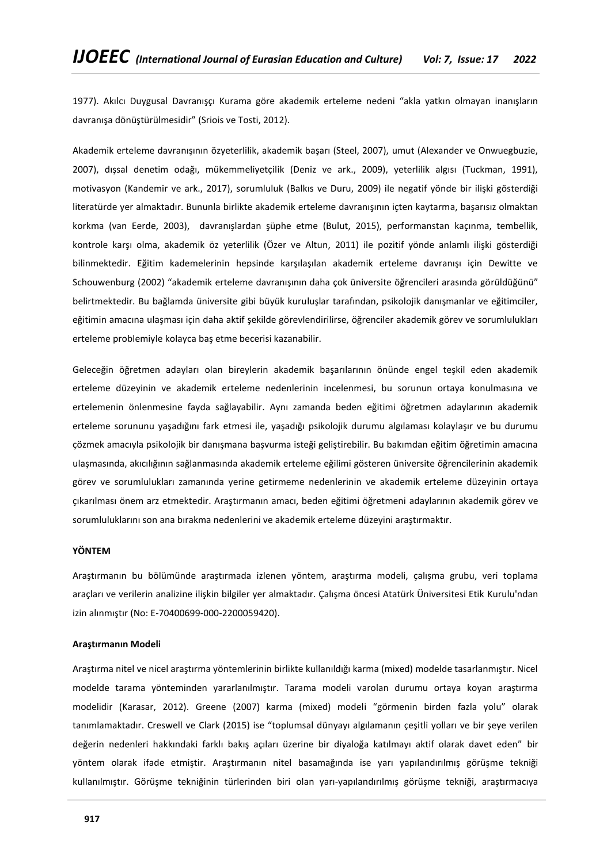1977). Akılcı Duygusal Davranışçı Kurama göre akademik erteleme nedeni "akla yatkın olmayan inanışların davranışa dönüştürülmesidir" (Sriois ve Tosti, 2012).

Akademik erteleme davranışının özyeterlilik, akademik başarı (Steel, 2007), umut (Alexander ve Onwuegbuzie, 2007), dışsal denetim odağı, mükemmeliyetçilik (Deniz ve ark., 2009), yeterlilik algısı (Tuckman, 1991), motivasyon (Kandemir ve ark., 2017), sorumluluk (Balkıs ve Duru, 2009) ile negatif yönde bir ilişki gösterdiği literatürde yer almaktadır. Bununla birlikte akademik erteleme davranışının içten kaytarma, başarısız olmaktan korkma (van Eerde, 2003), davranışlardan şüphe etme (Bulut, 2015), performanstan kaçınma, tembellik, kontrole karşı olma, akademik öz yeterlilik (Özer ve Altun, 2011) ile pozitif yönde anlamlı ilişki gösterdiği bilinmektedir. Eğitim kademelerinin hepsinde karşılaşılan akademik erteleme davranışı için Dewitte ve Schouwenburg (2002) "akademik erteleme davranışının daha çok üniversite öğrencileri arasında görüldüğünü" belirtmektedir. Bu bağlamda üniversite gibi büyük kuruluşlar tarafından, psikolojik danışmanlar ve eğitimciler, eğitimin amacına ulaşması için daha aktif şekilde görevlendirilirse, öğrenciler akademik görev ve sorumlulukları erteleme problemiyle kolayca baş etme becerisi kazanabilir.

Geleceğin öğretmen adayları olan bireylerin akademik başarılarının önünde engel teşkil eden akademik erteleme düzeyinin ve akademik erteleme nedenlerinin incelenmesi, bu sorunun ortaya konulmasına ve ertelemenin önlenmesine fayda sağlayabilir. Aynı zamanda beden eğitimi öğretmen adaylarının akademik erteleme sorununu yaşadığını fark etmesi ile, yaşadığı psikolojik durumu algılaması kolaylaşır ve bu durumu çözmek amacıyla psikolojik bir danışmana başvurma isteği geliştirebilir. Bu bakımdan eğitim öğretimin amacına ulaşmasında, akıcılığının sağlanmasında akademik erteleme eğilimi gösteren üniversite öğrencilerinin akademik görev ve sorumlulukları zamanında yerine getirmeme nedenlerinin ve akademik erteleme düzeyinin ortaya çıkarılması önem arz etmektedir. Araştırmanın amacı, beden eğitimi öğretmeni adaylarının akademik görev ve sorumluluklarını son ana bırakma nedenlerini ve akademik erteleme düzeyini araştırmaktır.

#### **YÖNTEM**

Araştırmanın bu bölümünde araştırmada izlenen yöntem, araştırma modeli, çalışma grubu, veri toplama araçları ve verilerin analizine ilişkin bilgiler yer almaktadır. Çalışma öncesi Atatürk Üniversitesi Etik Kurulu'ndan izin alınmıştır (No: E-70400699-000-2200059420).

### **Araştırmanın Modeli**

Araştırma nitel ve nicel araştırma yöntemlerinin birlikte kullanıldığı karma (mixed) modelde tasarlanmıştır. Nicel modelde tarama yönteminden yararlanılmıştır. Tarama modeli varolan durumu ortaya koyan araştırma modelidir (Karasar, 2012). Greene (2007) karma (mixed) modeli "görmenin birden fazla yolu" olarak tanımlamaktadır. Creswell ve Clark (2015) ise "toplumsal dünyayı algılamanın çeşitli yolları ve bir şeye verilen değerin nedenleri hakkındaki farklı bakış açıları üzerine bir diyaloğa katılmayı aktif olarak davet eden" bir yöntem olarak ifade etmiştir. Araştırmanın nitel basamağında ise yarı yapılandırılmış görüşme tekniği kullanılmıştır. Görüşme tekniğinin türlerinden biri olan yarı-yapılandırılmış görüşme tekniği, araştırmacıya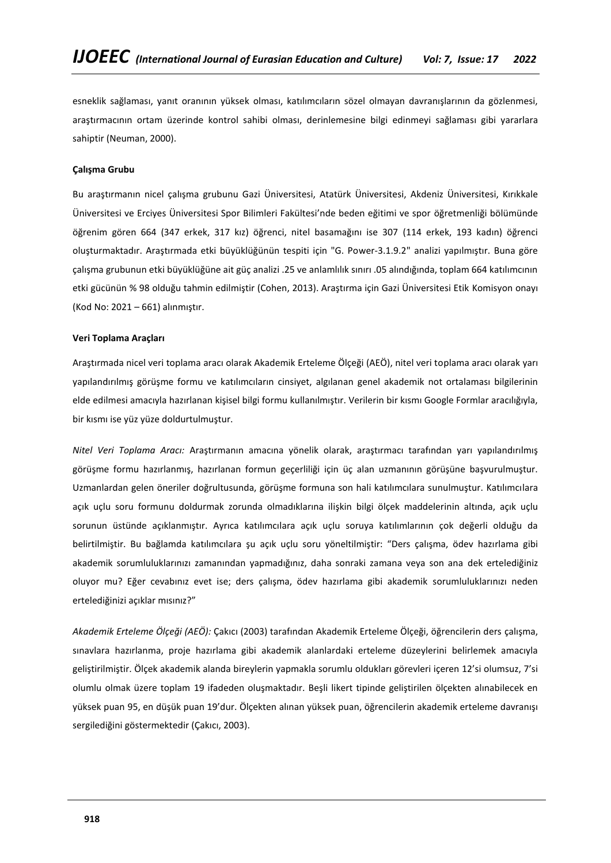esneklik sağlaması, yanıt oranının yüksek olması, katılımcıların sözel olmayan davranışlarının da gözlenmesi, araştırmacının ortam üzerinde kontrol sahibi olması, derinlemesine bilgi edinmeyi sağlaması gibi yararlara sahiptir (Neuman, 2000).

# **Çalışma Grubu**

Bu araştırmanın nicel çalışma grubunu Gazi Üniversitesi, Atatürk Üniversitesi, Akdeniz Üniversitesi, Kırıkkale Üniversitesi ve Erciyes Üniversitesi Spor Bilimleri Fakültesi'nde beden eğitimi ve spor öğretmenliği bölümünde öğrenim gören 664 (347 erkek, 317 kız) öğrenci, nitel basamağını ise 307 (114 erkek, 193 kadın) öğrenci oluşturmaktadır. Araştırmada etki büyüklüğünün tespiti için "G. Power-3.1.9.2" analizi yapılmıştır. Buna göre çalışma grubunun etki büyüklüğüne ait güç analizi .25 ve anlamlılık sınırı .05 alındığında, toplam 664 katılımcının etki gücünün % 98 olduğu tahmin edilmiştir (Cohen, 2013). Araştırma için Gazi Üniversitesi Etik Komisyon onayı (Kod No: 2021 – 661) alınmıştır.

## **Veri Toplama Araçları**

Araştırmada nicel veri toplama aracı olarak Akademik Erteleme Ölçeği (AEÖ), nitel veri toplama aracı olarak yarı yapılandırılmış görüşme formu ve katılımcıların cinsiyet, algılanan genel akademik not ortalaması bilgilerinin elde edilmesi amacıyla hazırlanan kişisel bilgi formu kullanılmıştır. Verilerin bir kısmı Google Formlar aracılığıyla, bir kısmı ise yüz yüze doldurtulmuştur.

*Nitel Veri Toplama Aracı:* Araştırmanın amacına yönelik olarak, araştırmacı tarafından yarı yapılandırılmış görüşme formu hazırlanmış, hazırlanan formun geçerliliği için üç alan uzmanının görüşüne başvurulmuştur. Uzmanlardan gelen öneriler doğrultusunda, görüşme formuna son hali katılımcılara sunulmuştur. Katılımcılara açık uçlu soru formunu doldurmak zorunda olmadıklarına ilişkin bilgi ölçek maddelerinin altında, açık uçlu sorunun üstünde açıklanmıştır. Ayrıca katılımcılara açık uçlu soruya katılımlarının çok değerli olduğu da belirtilmiştir. Bu bağlamda katılımcılara şu açık uçlu soru yöneltilmiştir: "Ders çalışma, ödev hazırlama gibi akademik sorumluluklarınızı zamanından yapmadığınız, daha sonraki zamana veya son ana dek ertelediğiniz oluyor mu? Eğer cevabınız evet ise; ders çalışma, ödev hazırlama gibi akademik sorumluluklarınızı neden ertelediğinizi açıklar mısınız?"

*Akademik Erteleme Ölçeği (AEÖ):* Çakıcı (2003) tarafından Akademik Erteleme Ölçeği, öğrencilerin ders çalışma, sınavlara hazırlanma, proje hazırlama gibi akademik alanlardaki erteleme düzeylerini belirlemek amacıyla geliştirilmiştir. Ölçek akademik alanda bireylerin yapmakla sorumlu oldukları görevleri içeren 12'si olumsuz, 7'si olumlu olmak üzere toplam 19 ifadeden oluşmaktadır. Beşli likert tipinde geliştirilen ölçekten alınabilecek en yüksek puan 95, en düşük puan 19'dur. Ölçekten alınan yüksek puan, öğrencilerin akademik erteleme davranışı sergilediğini göstermektedir (Çakıcı, 2003).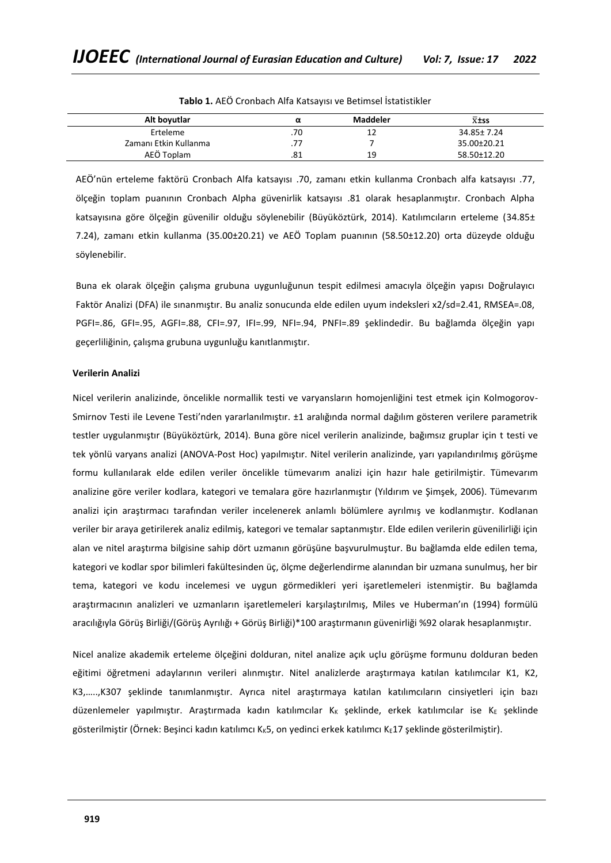| Alt boyutlar          | α   | Maddeler | $\overline{x}$ <sup>±ss</sup> |
|-----------------------|-----|----------|-------------------------------|
| Erteleme              | .70 | ᅩᄼ       | 34.85± 7.24                   |
| Zamanı Etkin Kullanma | .77 |          | 35.00±20.21                   |
| AEÖ Toplam            | .81 | 19       | 58.50±12.20                   |

**Tablo 1.** AEÖ Cronbach Alfa Katsayısı ve Betimsel İstatistikler

AEÖ'nün erteleme faktörü Cronbach Alfa katsayısı .70, zamanı etkin kullanma Cronbach alfa katsayısı .77, ölçeğin toplam puanının Cronbach Alpha güvenirlik katsayısı .81 olarak hesaplanmıştır. Cronbach Alpha katsayısına göre ölçeğin güvenilir olduğu söylenebilir (Büyüköztürk, 2014). Katılımcıların erteleme (34.85± 7.24), zamanı etkin kullanma (35.00±20.21) ve AEÖ Toplam puanının (58.50±12.20) orta düzeyde olduğu söylenebilir.

Buna ek olarak ölçeğin çalışma grubuna uygunluğunun tespit edilmesi amacıyla ölçeğin yapısı Doğrulayıcı Faktör Analizi (DFA) ile sınanmıştır. Bu analiz sonucunda elde edilen uyum indeksleri x2/sd=2.41, RMSEA=.08, PGFI=.86, GFI=.95, AGFI=.88, CFI=.97, IFI=.99, NFI=.94, PNFI=.89 şeklindedir. Bu bağlamda ölçeğin yapı geçerliliğinin, çalışma grubuna uygunluğu kanıtlanmıştır.

## **Verilerin Analizi**

Nicel verilerin analizinde, öncelikle normallik testi ve varyansların homojenliğini test etmek için Kolmogorov-Smirnov Testi ile Levene Testi'nden yararlanılmıştır. ±1 aralığında normal dağılım gösteren verilere parametrik testler uygulanmıştır (Büyüköztürk, 2014). Buna göre nicel verilerin analizinde, bağımsız gruplar için t testi ve tek yönlü varyans analizi (ANOVA-Post Hoc) yapılmıştır. Nitel verilerin analizinde, yarı yapılandırılmış görüşme formu kullanılarak elde edilen veriler öncelikle tümevarım analizi için hazır hale getirilmiştir. Tümevarım analizine göre veriler kodlara, kategori ve temalara göre hazırlanmıştır (Yıldırım ve Şimşek, 2006). Tümevarım analizi için araştırmacı tarafından veriler incelenerek anlamlı bölümlere ayrılmış ve kodlanmıştır. Kodlanan veriler bir araya getirilerek analiz edilmiş, kategori ve temalar saptanmıştır. Elde edilen verilerin güvenilirliği için alan ve nitel araştırma bilgisine sahip dört uzmanın görüşüne başvurulmuştur. Bu bağlamda elde edilen tema, kategori ve kodlar spor bilimleri fakültesinden üç, ölçme değerlendirme alanından bir uzmana sunulmuş, her bir tema, kategori ve kodu incelemesi ve uygun görmedikleri yeri işaretlemeleri istenmiştir. Bu bağlamda araştırmacının analizleri ve uzmanların işaretlemeleri karşılaştırılmış, Miles ve Huberman'ın (1994) formülü aracılığıyla Görüş Birliği/(Görüş Ayrılığı + Görüş Birliği)\*100 araştırmanın güvenirliği %92 olarak hesaplanmıştır.

Nicel analize akademik erteleme ölçeğini dolduran, nitel analize açık uçlu görüşme formunu dolduran beden eğitimi öğretmeni adaylarının verileri alınmıştır. Nitel analizlerde araştırmaya katılan katılımcılar K1, K2, K3,…..,K307 şeklinde tanımlanmıştır. Ayrıca nitel araştırmaya katılan katılımcıların cinsiyetleri için bazı düzenlemeler yapılmıştır. Araştırmada kadın katılımcılar K<sub>K</sub> şeklinde, erkek katılımcılar ise KE şeklinde gösterilmiştir (Örnek: Beşinci kadın katılımcı K<sub>K</sub>5, on yedinci erkek katılımcı K<sub>E</sub>17 şeklinde gösterilmiştir).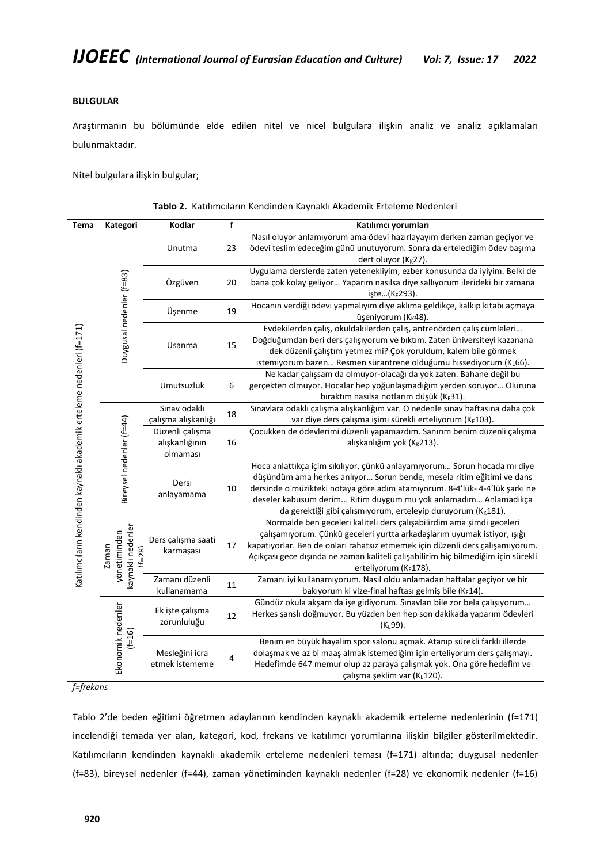# **BULGULAR**

 $\overline{a}$ 

Araştırmanın bu bölümünde elde edilen nitel ve nicel bulgulara ilişkin analiz ve analiz açıklamaları bulunmaktadır.

Nitel bulgulara ilişkin bulgular;

| Tema                                                                  | Kategori                                              | Kodlar                                                | f  | Katılımcı yorumları                                                                                                                                                                                                                                                                                                                                                      |
|-----------------------------------------------------------------------|-------------------------------------------------------|-------------------------------------------------------|----|--------------------------------------------------------------------------------------------------------------------------------------------------------------------------------------------------------------------------------------------------------------------------------------------------------------------------------------------------------------------------|
|                                                                       |                                                       | Unutma                                                | 23 | Nasıl oluyor anlamıyorum ama ödevi hazırlayayım derken zaman geçiyor ve<br>ödevi teslim edeceğim günü unutuyorum. Sonra da ertelediğim ödev başıma<br>dert oluyor (K <sub>K</sub> 27).                                                                                                                                                                                   |
|                                                                       |                                                       | Özgüven                                               | 20 | Uygulama derslerde zaten yetenekliyim, ezber konusunda da iyiyim. Belki de<br>bana çok kolay geliyor Yaparım nasılsa diye sallıyorum ilerideki bir zamana<br>işte(K <sub>E</sub> 293).                                                                                                                                                                                   |
|                                                                       |                                                       | Üşenme                                                | 19 | Hocanın verdiği ödevi yapmalıyım diye aklıma geldikçe, kalkıp kitabı açmaya<br>üşeniyorum (K <sub>K</sub> 48).                                                                                                                                                                                                                                                           |
|                                                                       | Duygusal nedenler (f=83)                              | 15<br>Usanma                                          |    | Evdekilerden çalış, okuldakilerden çalış, antrenörden çalış cümleleri<br>Doğduğumdan beri ders çalışıyorum ve bıktım. Zaten üniversiteyi kazanana<br>dek düzenli çalıştım yetmez mi? Çok yoruldum, kalem bile görmek<br>istemiyorum bazen Resmen sürantrene olduğumu hissediyorum (KE66).                                                                                |
|                                                                       |                                                       | Umutsuzluk                                            | 6  | Ne kadar çalışsam da olmuyor-olacağı da yok zaten. Bahane değil bu<br>gerçekten olmuyor. Hocalar hep yoğunlaşmadığım yerden soruyor Oluruna<br>bıraktım nasılsa notlarım düşük (KE31).                                                                                                                                                                                   |
|                                                                       |                                                       | Sınav odaklı<br>çalışma alışkanlığı                   | 18 | Sınavlara odaklı çalışma alışkanlığım var. O nedenle sınav haftasına daha çok<br>var diye ders çalışma işimi sürekli erteliyorum (KE103).                                                                                                                                                                                                                                |
|                                                                       |                                                       | Düzenli çalışma<br>alışkanlığının<br>olmaması         | 16 | Çocukken de ödevlerimi düzenli yapamazdım. Sanırım benim düzenli çalışma<br>alışkanlığım yok (K <sub>K</sub> 213).                                                                                                                                                                                                                                                       |
|                                                                       |                                                       | Bireysel nedenler (f=44)<br>Dersi<br>10<br>anlayamama |    | Hoca anlattıkça içim sıkılıyor, çünkü anlayamıyorum Sorun hocada mı diye<br>düşündüm ama herkes anlıyor Sorun bende, mesela ritim eğitimi ve dans<br>dersinde o müzikteki notaya göre adım atamıyorum. 8-4'lük- 4-4'lük şarkı ne<br>deseler kabusum derim Ritim duygum mu yok anlamadım Anlamadıkça<br>da gerektiği gibi çalışmıyorum, erteleyip duruyorum ( $K_K$ 181). |
| Katılımcıların kendinden kaynaklı akademik erteleme nedenleri (f=171) | kaynaklı nedenler<br>yönetiminden<br>Zaman<br>$(F=7)$ | Ders çalışma saati<br>karmaşası                       | 17 | Normalde ben geceleri kaliteli ders çalışabilirdim ama şimdi geceleri<br>çalışamıyorum. Çünkü geceleri yurtta arkadaşlarım uyumak istiyor, ışığı<br>kapatıyorlar. Ben de onları rahatsız etmemek için düzenli ders çalışamıyorum.<br>Açıkçası gece dışında ne zaman kaliteli çalışabilirim hiç bilmediğim için sürekli<br>erteliyorum (KE178).                           |
|                                                                       |                                                       | Zamanı düzenli<br>kullanamama                         | 11 | Zamanı iyi kullanamıyorum. Nasıl oldu anlamadan haftalar geçiyor ve bir<br>bakıyorum ki vize-final haftası gelmiş bile (KE14).                                                                                                                                                                                                                                           |
|                                                                       |                                                       | Ek işte çalışma<br>zorunluluğu                        | 12 | Gündüz okula akşam da işe gidiyorum. Sınavları bile zor bela çalışıyorum<br>Herkes şanslı doğmuyor. Bu yüzden ben hep son dakikada yaparım ödevleri<br>$(K_E99)$ .                                                                                                                                                                                                       |
|                                                                       | Ekonomik nedenler<br>$(1-16)$                         | Mesleğini icra<br>etmek istememe                      | 4  | Benim en büyük hayalim spor salonu açmak. Atanıp sürekli farklı illerde<br>dolaşmak ve az bi maaş almak istemediğim için erteliyorum ders çalışmayı.<br>Hedefimde 647 memur olup az paraya çalışmak yok. Ona göre hedefim ve<br>çalışma şeklim var (KE120).                                                                                                              |

|  |  | Tablo 2. Katılımcıların Kendinden Kaynaklı Akademik Erteleme Nedenleri |  |  |  |  |  |
|--|--|------------------------------------------------------------------------|--|--|--|--|--|
|--|--|------------------------------------------------------------------------|--|--|--|--|--|

*f=frekans*

Tablo 2'de beden eğitimi öğretmen adaylarının kendinden kaynaklı akademik erteleme nedenlerinin (f=171) incelendiği temada yer alan, kategori, kod, frekans ve katılımcı yorumlarına ilişkin bilgiler gösterilmektedir. Katılımcıların kendinden kaynaklı akademik erteleme nedenleri teması (f=171) altında; duygusal nedenler (f=83), bireysel nedenler (f=44), zaman yönetiminden kaynaklı nedenler (f=28) ve ekonomik nedenler (f=16)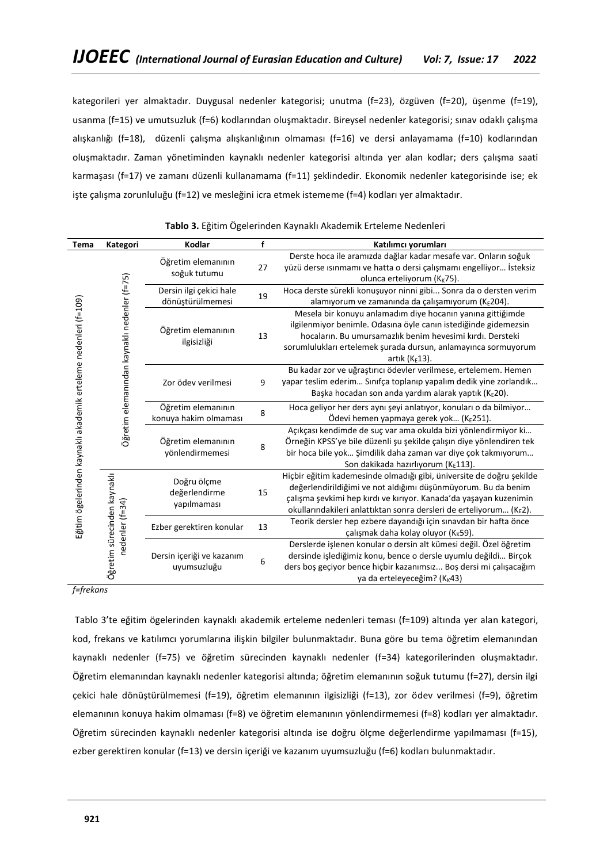kategorileri yer almaktadır. Duygusal nedenler kategorisi; unutma (f=23), özgüven (f=20), üşenme (f=19), usanma (f=15) ve umutsuzluk (f=6) kodlarından oluşmaktadır. Bireysel nedenler kategorisi; sınav odaklı çalışma alışkanlığı (f=18), düzenli çalışma alışkanlığının olmaması (f=16) ve dersi anlayamama (f=10) kodlarından oluşmaktadır. Zaman yönetiminden kaynaklı nedenler kategorisi altında yer alan kodlar; ders çalışma saati karmaşası (f=17) ve zamanı düzenli kullanamama (f=11) şeklindedir. Ekonomik nedenler kategorisinde ise; ek işte çalışma zorunluluğu (f=12) ve mesleğini icra etmek istememe (f=4) kodları yer almaktadır.

| Tema                                                            | Kategori                                     | Kodlar                                      | f  | Katılımcı yorumları                                                                                                                                                                                                                                                                |
|-----------------------------------------------------------------|----------------------------------------------|---------------------------------------------|----|------------------------------------------------------------------------------------------------------------------------------------------------------------------------------------------------------------------------------------------------------------------------------------|
|                                                                 |                                              | Öğretim elemanının<br>soğuk tutumu          | 27 | Derste hoca ile aramızda dağlar kadar mesafe var. Onların soğuk<br>yüzü derse ısınmamı ve hatta o dersi çalışmamı engelliyor İsteksiz<br>olunca erteliyorum (K <sub>K</sub> 75).                                                                                                   |
|                                                                 |                                              | Dersin ilgi çekici hale<br>dönüştürülmemesi | 19 | Hoca derste sürekli konuşuyor ninni gibi Sonra da o dersten verim<br>alamıyorum ve zamanında da çalışamıyorum ( $K_E$ 204).                                                                                                                                                        |
| Eğitim ögelerinden kaynaklı akademik erteleme nedenleri (f=109) | Öğretim elemanından kaynaklı nedenler (f=75) | Öğretim elemanının<br>ilgisizliği           | 13 | Mesela bir konuyu anlamadım diye hocanın yanına gittiğimde<br>ilgilenmiyor benimle. Odasına öyle canın istediğinde gidemezsin<br>hocaların. Bu umursamazlık benim hevesimi kırdı. Dersteki<br>sorumlulukları ertelemek şurada dursun, anlamayınca sormuyorum<br>artık ( $K_E$ 13). |
|                                                                 |                                              | Zor ödev verilmesi                          | 9  | Bu kadar zor ve uğraştırıcı ödevler verilmese, ertelemem. Hemen<br>yapar teslim ederim Sınıfça toplanıp yapalım dedik yine zorlandık<br>Başka hocadan son anda yardım alarak yaptık (KE20).                                                                                        |
|                                                                 |                                              | Öğretim elemanının<br>konuya hakim olmaması | 8  | Hoca geliyor her ders aynı şeyi anlatıyor, konuları o da bilmiyor<br>Ödevi hemen yapmaya gerek yok ( $K_E$ 251).                                                                                                                                                                   |
|                                                                 |                                              | Öğretim elemanının<br>yönlendirmemesi       |    | Açıkçası kendimde de suç var ama okulda bizi yönlendirmiyor ki<br>Örneğin KPSS'ye bile düzenli şu şekilde çalışın diye yönlendiren tek<br>bir hoca bile yok Şimdilik daha zaman var diye çok takmıyorum<br>Son dakikada hazırlıyorum (KE113).                                      |
|                                                                 |                                              | Doğru ölçme<br>değerlendirme<br>yapılmaması | 15 | Hiçbir eğitim kademesinde olmadığı gibi, üniversite de doğru şekilde<br>değerlendirildiğimi ve not aldığımı düşünmüyorum. Bu da benim<br>çalışma şevkimi hep kırdı ve kırıyor. Kanada'da yaşayan kuzenimin<br>okullarındakileri anlattıktan sonra dersleri de erteliyorum (KE2).   |
|                                                                 | nedenler (f=34)                              | Ezber gerektiren konular                    | 13 | Teorik dersler hep ezbere dayandığı için sınavdan bir hafta önce<br>çalışmak daha kolay oluyor (K <sub>K</sub> 59).                                                                                                                                                                |
| Öğretim sürecinden kaynaklı                                     |                                              | Dersin içeriği ve kazanım<br>uyumsuzluğu    | 6  | Derslerde işlenen konular o dersin alt kümesi değil. Özel öğretim<br>dersinde işlediğimiz konu, bence o dersle uyumlu değildi Birçok<br>ders boş geçiyor bence hiçbir kazanımsız Boş dersi mi çalışacağım<br>ya da erteleyeceğim? (K <sub>K</sub> 43)                              |

|  |  | Tablo 3. Eğitim Ögelerinden Kaynaklı Akademik Erteleme Nedenleri |  |  |  |  |
|--|--|------------------------------------------------------------------|--|--|--|--|
|--|--|------------------------------------------------------------------|--|--|--|--|

*f=frekans*

Tablo 3'te eğitim ögelerinden kaynaklı akademik erteleme nedenleri teması (f=109) altında yer alan kategori, kod, frekans ve katılımcı yorumlarına ilişkin bilgiler bulunmaktadır. Buna göre bu tema öğretim elemanından kaynaklı nedenler (f=75) ve öğretim sürecinden kaynaklı nedenler (f=34) kategorilerinden oluşmaktadır. Öğretim elemanından kaynaklı nedenler kategorisi altında; öğretim elemanının soğuk tutumu (f=27), dersin ilgi çekici hale dönüştürülmemesi (f=19), öğretim elemanının ilgisizliği (f=13), zor ödev verilmesi (f=9), öğretim elemanının konuya hakim olmaması (f=8) ve öğretim elemanının yönlendirmemesi (f=8) kodları yer almaktadır. Öğretim sürecinden kaynaklı nedenler kategorisi altında ise doğru ölçme değerlendirme yapılmaması (f=15), ezber gerektiren konular (f=13) ve dersin içeriği ve kazanım uyumsuzluğu (f=6) kodları bulunmaktadır.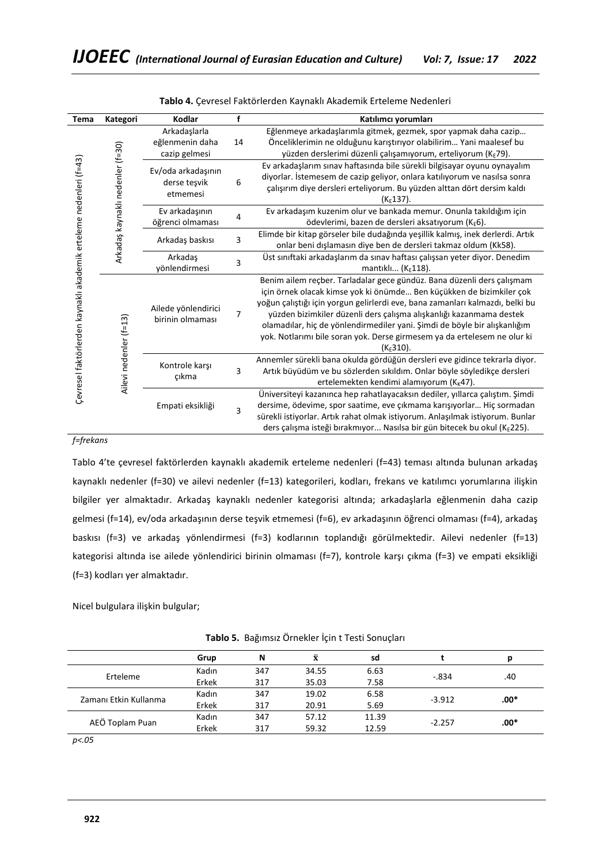| Tema                                                                                                  | Kategori               | Kodlar                                  | f  | Katılımcı yorumları                                                            |
|-------------------------------------------------------------------------------------------------------|------------------------|-----------------------------------------|----|--------------------------------------------------------------------------------|
|                                                                                                       |                        | Arkadaşlarla                            |    | Eğlenmeye arkadaşlarımla gitmek, gezmek, spor yapmak daha cazip                |
|                                                                                                       |                        | eğlenmenin daha                         | 14 | Önceliklerimin ne olduğunu karıştırıyor olabilirim Yani maalesef bu            |
|                                                                                                       |                        | cazip gelmesi                           |    | yüzden derslerimi düzenli çalışamıyorum, erteliyorum (KE79).                   |
|                                                                                                       |                        | Ev/oda arkadaşının                      |    | Ev arkadaşlarım sınav haftasında bile sürekli bilgisayar oyunu oynayalım       |
| Arkadaş kaynaklı nedenler (f=30)<br>Çevresel faktörlerden kaynaklı akademik erteleme nedenleri (f=43) |                        | derse teşvik<br>etmemesi                | 6  | diyorlar. İstemesem de cazip geliyor, onlara katılıyorum ve nasılsa sonra      |
|                                                                                                       |                        |                                         |    | çalışırım diye dersleri erteliyorum. Bu yüzden alttan dört dersim kaldı        |
|                                                                                                       |                        |                                         |    | $(KE137)$ .                                                                    |
|                                                                                                       |                        | Ev arkadaşının                          |    | Ev arkadaşım kuzenim olur ve bankada memur. Onunla takıldığım için             |
|                                                                                                       |                        | öğrenci olmaması                        | 4  | ödevlerimi, bazen de dersleri aksatıyorum (KE6).                               |
|                                                                                                       |                        |                                         | 3  | Elimde bir kitap görseler bile dudağında yeşillik kalmış, inek derlerdi. Artık |
|                                                                                                       |                        | Arkadaş baskısı                         |    | onlar beni dışlamasın diye ben de dersleri takmaz oldum (Kk58).                |
|                                                                                                       |                        | Arkadaş<br>vönlendirmesi                | 3  | Üst sınıftaki arkadaşlarım da sınav haftası çalışsan yeter diyor. Denedim      |
|                                                                                                       |                        |                                         |    | mantıklı $(KE118)$ .                                                           |
|                                                                                                       |                        |                                         |    | Benim ailem reçber. Tarladalar gece gündüz. Bana düzenli ders çalışmam         |
|                                                                                                       |                        | Ailede yönlendirici<br>birinin olmaması | 7  | için örnek olacak kimse yok ki önümde Ben küçükken de bizimkiler çok           |
|                                                                                                       |                        |                                         |    | yoğun çalıştığı için yorgun gelirlerdi eve, bana zamanları kalmazdı, belki bu  |
|                                                                                                       |                        |                                         |    | yüzden bizimkiler düzenli ders çalışma alışkanlığı kazanmama destek            |
|                                                                                                       |                        |                                         |    | olamadılar, hiç de yönlendirmediler yani. Şimdi de böyle bir alışkanlığım      |
|                                                                                                       |                        |                                         |    | yok. Notlarımı bile soran yok. Derse girmesem ya da ertelesem ne olur ki       |
|                                                                                                       |                        |                                         |    | $(K_F310)$ .                                                                   |
|                                                                                                       | Ailevi nedenler (f=13) |                                         | 3  | Annemler sürekli bana okulda gördüğün dersleri eve gidince tekrarla diyor.     |
|                                                                                                       |                        | Kontrole karşı                          |    | Artık büyüdüm ve bu sözlerden sıkıldım. Onlar böyle söyledikçe dersleri        |
|                                                                                                       |                        | çıkma                                   |    | ertelemekten kendimi alamıyorum ( $K_K$ 47).                                   |
|                                                                                                       |                        | Empati eksikliği                        | 3  | Üniversiteyi kazanınca hep rahatlayacaksın dediler, yıllarca çalıştım. Şimdi   |
|                                                                                                       |                        |                                         |    | dersime, ödevime, spor saatime, eve çıkmama karışıyorlar Hiç sormadan          |
|                                                                                                       |                        |                                         |    | sürekli istiyorlar. Artık rahat olmak istiyorum. Anlaşılmak istiyorum. Bunlar  |
|                                                                                                       |                        |                                         |    | ders çalışma isteği bırakmıyor Nasılsa bir gün bitecek bu okul (KE225).        |

# *f=frekans*

Tablo 4'te çevresel faktörlerden kaynaklı akademik erteleme nedenleri (f=43) teması altında bulunan arkadaş kaynaklı nedenler (f=30) ve ailevi nedenler (f=13) kategorileri, kodları, frekans ve katılımcı yorumlarına ilişkin bilgiler yer almaktadır. Arkadaş kaynaklı nedenler kategorisi altında; arkadaşlarla eğlenmenin daha cazip gelmesi (f=14), ev/oda arkadaşının derse teşvik etmemesi (f=6), ev arkadaşının öğrenci olmaması (f=4), arkadaş baskısı (f=3) ve arkadaş yönlendirmesi (f=3) kodlarının toplandığı görülmektedir. Ailevi nedenler (f=13) kategorisi altında ise ailede yönlendirici birinin olmaması (f=7), kontrole karşı çıkma (f=3) ve empati eksikliği (f=3) kodları yer almaktadır.

Nicel bulgulara ilişkin bulgular;

|                       | Grup  | N   | $\bar{\mathbf{x}}$ | sd    |          | D      |  |
|-----------------------|-------|-----|--------------------|-------|----------|--------|--|
| Erteleme              | Kadın | 347 | 34.55              | 6.63  | $-.834$  | .40    |  |
|                       | Erkek | 317 | 35.03              | 7.58  |          |        |  |
| Zamanı Etkin Kullanma | Kadın | 347 | 19.02              | 6.58  |          | $.00*$ |  |
|                       | Erkek | 317 | 20.91              | 5.69  | $-3.912$ |        |  |
|                       | Kadın | 347 | 57.12              | 11.39 |          | .00*   |  |
| AEÖ Toplam Puan       | Erkek | 317 | 59.32              | 12.59 | $-2.257$ |        |  |
|                       |       |     |                    |       |          |        |  |

**Tablo 5.** Bağımsız Örnekler İçin t Testi Sonuçları

*p<.05*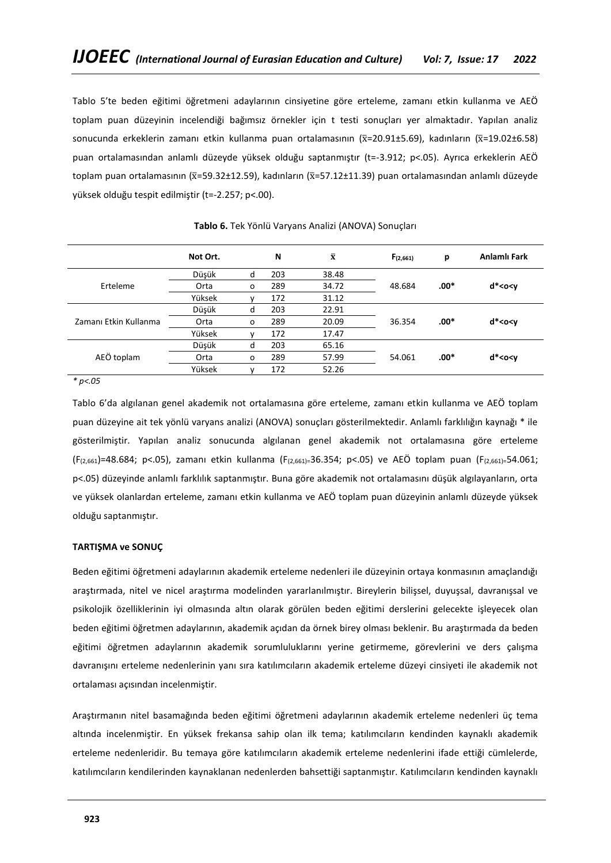Tablo 5'te beden eğitimi öğretmeni adaylarının cinsiyetine göre erteleme, zamanı etkin kullanma ve AEÖ toplam puan düzeyinin incelendiği bağımsız örnekler için t testi sonuçları yer almaktadır. Yapılan analiz sonucunda erkeklerin zamanı etkin kullanma puan ortalamasının ( $\bar{x}$ =20.91±5.69), kadınların ( $\bar{x}$ =19.02±6.58) puan ortalamasından anlamlı düzeyde yüksek olduğu saptanmıştır (t=-3.912; p<.05). Ayrıca erkeklerin AEÖ toplam puan ortalamasının ( $\bar{x}$ =59.32±12.59), kadınların ( $\bar{x}$ =57.12±11.39) puan ortalamasından anlamlı düzevde yüksek olduğu tespit edilmiştir (t=-2.257; p<.00).

|                       | Not Ort. |         | N   | $\bar{\mathbf{x}}$ | $F_{(2,661)}$ | р      | Anlamlı Fark             |
|-----------------------|----------|---------|-----|--------------------|---------------|--------|--------------------------|
|                       | Düşük    | d       | 203 | 38.48              |               |        |                          |
| Erteleme              | Orta     | $\circ$ | 289 | 34.72              | 48.684        | $.00*$ | $d^*<$ o <v< td=""></v<> |
|                       | Yüksek   |         | 172 | 31.12              |               |        |                          |
|                       | Düşük    | d       | 203 | 22.91              |               |        |                          |
| Zamanı Etkin Kullanma | Orta     | $\circ$ | 289 | 20.09              | 36.354        | $.00*$ | $d^*<$ o <v< td=""></v<> |
|                       | Yüksek   |         | 172 | 17.47              |               |        |                          |
|                       | Düşük    | d       | 203 | 65.16              |               |        |                          |
| AEÖ toplam            | Orta     | $\circ$ | 289 | 57.99              | 54.061        | $.00*$ | $d^*<$ o <v< td=""></v<> |
|                       | Yüksek   |         | 172 | 52.26              |               |        |                          |

**Tablo 6.** Tek Yönlü Varyans Analizi (ANOVA) Sonuçları

*\* p<.05*

Tablo 6'da algılanan genel akademik not ortalamasına göre erteleme, zamanı etkin kullanma ve AEÖ toplam puan düzeyine ait tek yönlü varyans analizi (ANOVA) sonuçları gösterilmektedir. Anlamlı farklılığın kaynağı \* ile gösterilmiştir. Yapılan analiz sonucunda algılanan genel akademik not ortalamasına göre erteleme (F(2,661)=48.684; p<.05), zamanı etkin kullanma (F(2,661)=36.354; p<.05) ve AEÖ toplam puan (F(2,661)=54.061; p<.05) düzeyinde anlamlı farklılık saptanmıştır. Buna göre akademik not ortalamasını düşük algılayanların, orta ve yüksek olanlardan erteleme, zamanı etkin kullanma ve AEÖ toplam puan düzeyinin anlamlı düzeyde yüksek olduğu saptanmıştır.

# **TARTIŞMA ve SONUÇ**

Beden eğitimi öğretmeni adaylarının akademik erteleme nedenleri ile düzeyinin ortaya konmasının amaçlandığı araştırmada, nitel ve nicel araştırma modelinden yararlanılmıştır. Bireylerin bilişsel, duyuşsal, davranışsal ve psikolojik özelliklerinin iyi olmasında altın olarak görülen beden eğitimi derslerini gelecekte işleyecek olan beden eğitimi öğretmen adaylarının, akademik açıdan da örnek birey olması beklenir. Bu araştırmada da beden eğitimi öğretmen adaylarının akademik sorumluluklarını yerine getirmeme, görevlerini ve ders çalışma davranışını erteleme nedenlerinin yanı sıra katılımcıların akademik erteleme düzeyi cinsiyeti ile akademik not ortalaması açısından incelenmiştir.

Araştırmanın nitel basamağında beden eğitimi öğretmeni adaylarının akademik erteleme nedenleri üç tema altında incelenmiştir. En yüksek frekansa sahip olan ilk tema; katılımcıların kendinden kaynaklı akademik erteleme nedenleridir. Bu temaya göre katılımcıların akademik erteleme nedenlerini ifade ettiği cümlelerde, katılımcıların kendilerinden kaynaklanan nedenlerden bahsettiği saptanmıştır. Katılımcıların kendinden kaynaklı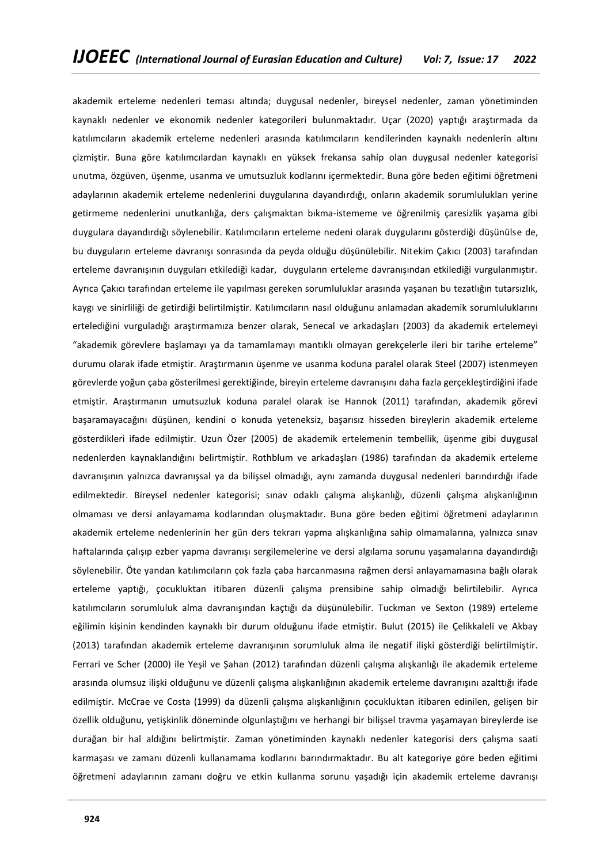akademik erteleme nedenleri teması altında; duygusal nedenler, bireysel nedenler, zaman yönetiminden kaynaklı nedenler ve ekonomik nedenler kategorileri bulunmaktadır. Uçar (2020) yaptığı araştırmada da katılımcıların akademik erteleme nedenleri arasında katılımcıların kendilerinden kaynaklı nedenlerin altını çizmiştir. Buna göre katılımcılardan kaynaklı en yüksek frekansa sahip olan duygusal nedenler kategorisi unutma, özgüven, üşenme, usanma ve umutsuzluk kodlarını içermektedir. Buna göre beden eğitimi öğretmeni adaylarının akademik erteleme nedenlerini duygularına dayandırdığı, onların akademik sorumlulukları yerine getirmeme nedenlerini unutkanlığa, ders çalışmaktan bıkma-istememe ve öğrenilmiş çaresizlik yaşama gibi duygulara dayandırdığı söylenebilir. Katılımcıların erteleme nedeni olarak duygularını gösterdiği düşünülse de, bu duyguların erteleme davranışı sonrasında da peyda olduğu düşünülebilir. Nitekim Çakıcı (2003) tarafından erteleme davranışının duyguları etkilediği kadar, duyguların erteleme davranışından etkilediği vurgulanmıştır. Ayrıca Çakıcı tarafından erteleme ile yapılması gereken sorumluluklar arasında yaşanan bu tezatlığın tutarsızlık, kaygı ve sinirliliği de getirdiği belirtilmiştir. Katılımcıların nasıl olduğunu anlamadan akademik sorumluluklarını ertelediğini vurguladığı araştırmamıza benzer olarak, Senecal ve arkadaşları (2003) da akademik ertelemeyi "akademik görevlere başlamayı ya da tamamlamayı mantıklı olmayan gerekçelerle ileri bir tarihe erteleme" durumu olarak ifade etmiştir. Araştırmanın üşenme ve usanma koduna paralel olarak Steel (2007) istenmeyen görevlerde yoğun çaba gösterilmesi gerektiğinde, bireyin erteleme davranışını daha fazla gerçekleştirdiğini ifade etmiştir. Araştırmanın umutsuzluk koduna paralel olarak ise Hannok (2011) tarafından, akademik görevi başaramayacağını düşünen, kendini o konuda yeteneksiz, başarısız hisseden bireylerin akademik erteleme gösterdikleri ifade edilmiştir. Uzun Özer (2005) de akademik ertelemenin tembellik, üşenme gibi duygusal nedenlerden kaynaklandığını belirtmiştir. Rothblum ve arkadaşları (1986) tarafından da akademik erteleme davranışının yalnızca davranışsal ya da bilişsel olmadığı, aynı zamanda duygusal nedenleri barındırdığı ifade edilmektedir. Bireysel nedenler kategorisi; sınav odaklı çalışma alışkanlığı, düzenli çalışma alışkanlığının olmaması ve dersi anlayamama kodlarından oluşmaktadır. Buna göre beden eğitimi öğretmeni adaylarının akademik erteleme nedenlerinin her gün ders tekrarı yapma alışkanlığına sahip olmamalarına, yalnızca sınav haftalarında çalışıp ezber yapma davranışı sergilemelerine ve dersi algılama sorunu yaşamalarına dayandırdığı söylenebilir. Öte yandan katılımcıların çok fazla çaba harcanmasına rağmen dersi anlayamamasına bağlı olarak erteleme yaptığı, çocukluktan itibaren düzenli çalışma prensibine sahip olmadığı belirtilebilir. Ayrıca katılımcıların sorumluluk alma davranışından kaçtığı da düşünülebilir. Tuckman ve Sexton (1989) erteleme eğilimin kişinin kendinden kaynaklı bir durum olduğunu ifade etmiştir. Bulut (2015) ile Çelikkaleli ve Akbay (2013) tarafından akademik erteleme davranışının sorumluluk alma ile negatif ilişki gösterdiği belirtilmiştir. Ferrari ve Scher (2000) ile Yeşil ve Şahan (2012) tarafından düzenli çalışma alışkanlığı ile akademik erteleme arasında olumsuz ilişki olduğunu ve düzenli çalışma alışkanlığının akademik erteleme davranışını azalttığı ifade edilmiştir. McCrae ve Costa (1999) da düzenli çalışma alışkanlığının çocukluktan itibaren edinilen, gelişen bir özellik olduğunu, yetişkinlik döneminde olgunlaştığını ve herhangi bir bilişsel travma yaşamayan bireylerde ise durağan bir hal aldığını belirtmiştir. Zaman yönetiminden kaynaklı nedenler kategorisi ders çalışma saati karmaşası ve zamanı düzenli kullanamama kodlarını barındırmaktadır. Bu alt kategoriye göre beden eğitimi öğretmeni adaylarının zamanı doğru ve etkin kullanma sorunu yaşadığı için akademik erteleme davranışı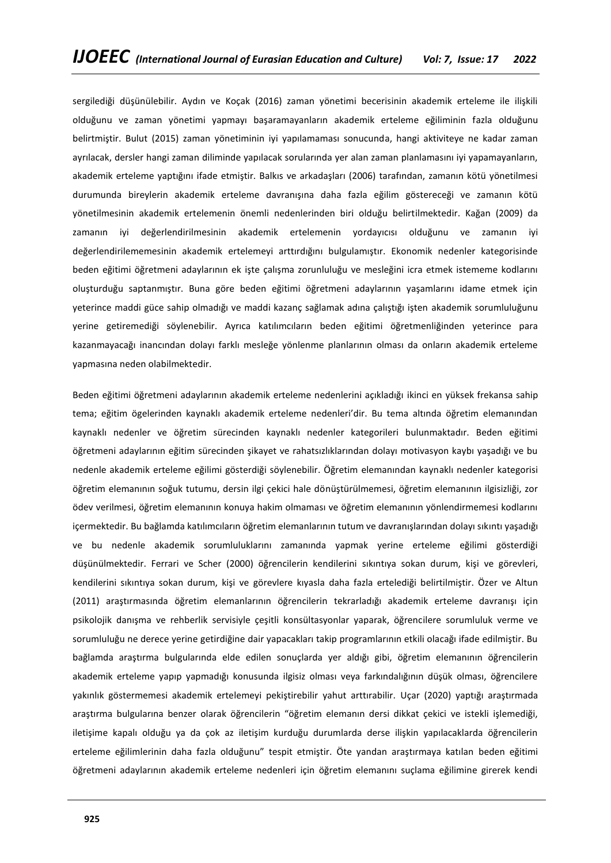sergilediği düşünülebilir. Aydın ve Koçak (2016) zaman yönetimi becerisinin akademik erteleme ile ilişkili olduğunu ve zaman yönetimi yapmayı başaramayanların akademik erteleme eğiliminin fazla olduğunu belirtmiştir. Bulut (2015) zaman yönetiminin iyi yapılamaması sonucunda, hangi aktiviteye ne kadar zaman ayrılacak, dersler hangi zaman diliminde yapılacak sorularında yer alan zaman planlamasını iyi yapamayanların, akademik erteleme yaptığını ifade etmiştir. Balkıs ve arkadaşları (2006) tarafından, zamanın kötü yönetilmesi durumunda bireylerin akademik erteleme davranışına daha fazla eğilim göstereceği ve zamanın kötü yönetilmesinin akademik ertelemenin önemli nedenlerinden biri olduğu belirtilmektedir. Kağan (2009) da zamanın iyi değerlendirilmesinin akademik ertelemenin yordayıcısı olduğunu ve zamanın iyi değerlendirilememesinin akademik ertelemeyi arttırdığını bulgulamıştır. Ekonomik nedenler kategorisinde beden eğitimi öğretmeni adaylarının ek işte çalışma zorunluluğu ve mesleğini icra etmek istememe kodlarını oluşturduğu saptanmıştır. Buna göre beden eğitimi öğretmeni adaylarının yaşamlarını idame etmek için yeterince maddi güce sahip olmadığı ve maddi kazanç sağlamak adına çalıştığı işten akademik sorumluluğunu yerine getiremediği söylenebilir. Ayrıca katılımcıların beden eğitimi öğretmenliğinden yeterince para kazanmayacağı inancından dolayı farklı mesleğe yönlenme planlarının olması da onların akademik erteleme yapmasına neden olabilmektedir.

Beden eğitimi öğretmeni adaylarının akademik erteleme nedenlerini açıkladığı ikinci en yüksek frekansa sahip tema; eğitim ögelerinden kaynaklı akademik erteleme nedenleri'dir. Bu tema altında öğretim elemanından kaynaklı nedenler ve öğretim sürecinden kaynaklı nedenler kategorileri bulunmaktadır. Beden eğitimi öğretmeni adaylarının eğitim sürecinden şikayet ve rahatsızlıklarından dolayı motivasyon kaybı yaşadığı ve bu nedenle akademik erteleme eğilimi gösterdiği söylenebilir. Öğretim elemanından kaynaklı nedenler kategorisi öğretim elemanının soğuk tutumu, dersin ilgi çekici hale dönüştürülmemesi, öğretim elemanının ilgisizliği, zor ödev verilmesi, öğretim elemanının konuya hakim olmaması ve öğretim elemanının yönlendirmemesi kodlarını içermektedir. Bu bağlamda katılımcıların öğretim elemanlarının tutum ve davranışlarından dolayı sıkıntı yaşadığı ve bu nedenle akademik sorumluluklarını zamanında yapmak yerine erteleme eğilimi gösterdiği düşünülmektedir. Ferrari ve Scher (2000) öğrencilerin kendilerini sıkıntıya sokan durum, kişi ve görevleri, kendilerini sıkıntıya sokan durum, kişi ve görevlere kıyasla daha fazla ertelediği belirtilmiştir. Özer ve Altun (2011) araştırmasında öğretim elemanlarının öğrencilerin tekrarladığı akademik erteleme davranışı için psikolojik danışma ve rehberlik servisiyle çeşitli konsültasyonlar yaparak, öğrencilere sorumluluk verme ve sorumluluğu ne derece yerine getirdiğine dair yapacakları takip programlarının etkili olacağı ifade edilmiştir. Bu bağlamda araştırma bulgularında elde edilen sonuçlarda yer aldığı gibi, öğretim elemanının öğrencilerin akademik erteleme yapıp yapmadığı konusunda ilgisiz olması veya farkındalığının düşük olması, öğrencilere yakınlık göstermemesi akademik ertelemeyi pekiştirebilir yahut arttırabilir. Uçar (2020) yaptığı araştırmada araştırma bulgularına benzer olarak öğrencilerin "öğretim elemanın dersi dikkat çekici ve istekli işlemediği, iletişime kapalı olduğu ya da çok az iletişim kurduğu durumlarda derse ilişkin yapılacaklarda öğrencilerin erteleme eğilimlerinin daha fazla olduğunu" tespit etmiştir. Öte yandan araştırmaya katılan beden eğitimi öğretmeni adaylarının akademik erteleme nedenleri için öğretim elemanını suçlama eğilimine girerek kendi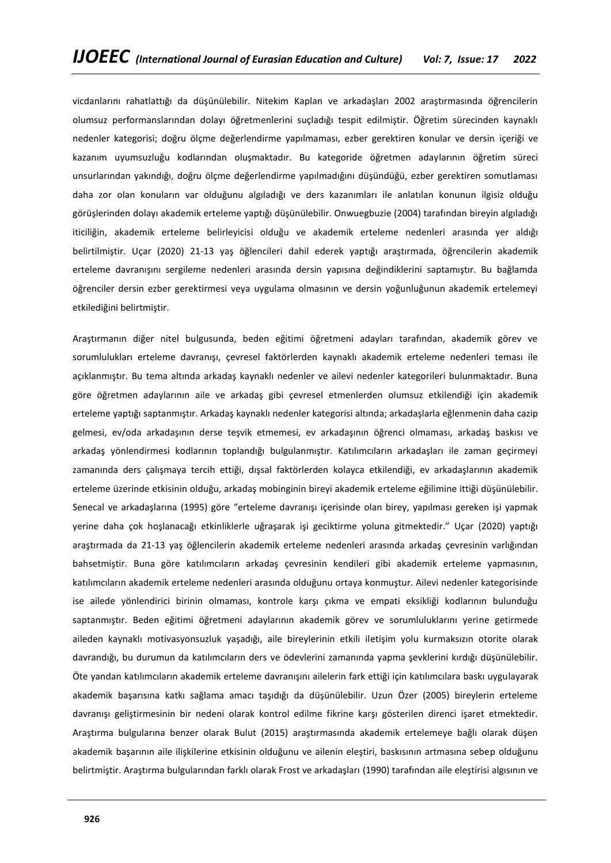vicdanlarını rahatlattığı da düşünülebilir. Nitekim Kaplan ve arkadaşları 2002 araştırmasında öğrencilerin olumsuz performanslarından dolayı öğretmenlerini suçladığı tespit edilmiştir. Öğretim sürecinden kaynaklı nedenler kategorisi; doğru ölçme değerlendirme yapılmaması, ezber gerektiren konular ve dersin içeriği ve kazanım uyumsuzluğu kodlarından oluşmaktadır. Bu kategoride öğretmen adaylarının öğretim süreci unsurlarından yakındığı, doğru ölçme değerlendirme yapılmadığını düşündüğü, ezber gerektiren somutlaması daha zor olan konuların var olduğunu algıladığı ve ders kazanımları ile anlatılan konunun ilgisiz olduğu görüşlerinden dolayı akademik erteleme yaptığı düşünülebilir. Onwuegbuzie (2004) tarafından bireyin algıladığı iticiliğin, akademik erteleme belirleyicisi olduğu ve akademik erteleme nedenleri arasında yer aldığı belirtilmiştir. Uçar (2020) 21-13 yaş öğlencileri dahil ederek yaptığı araştırmada, öğrencilerin akademik erteleme davranışını sergileme nedenleri arasında dersin yapısına değindiklerini saptamıştır. Bu bağlamda öğrenciler dersin ezber gerektirmesi veya uygulama olmasının ve dersin yoğunluğunun akademik ertelemeyi etkilediğini belirtmiştir.

Araştırmanın diğer nitel bulgusunda, beden eğitimi öğretmeni adayları tarafından, akademik görev ve sorumlulukları erteleme davranışı, çevresel faktörlerden kaynaklı akademik erteleme nedenleri teması ile açıklanmıştır. Bu tema altında arkadaş kaynaklı nedenler ve ailevi nedenler kategorileri bulunmaktadır. Buna göre öğretmen adaylarının aile ve arkadaş gibi çevresel etmenlerden olumsuz etkilendiği için akademik erteleme yaptığı saptanmıştır. Arkadaş kaynaklı nedenler kategorisi altında; arkadaşlarla eğlenmenin daha cazip gelmesi, ev/oda arkadaşının derse teşvik etmemesi, ev arkadaşının öğrenci olmaması, arkadaş baskısı ve arkadaş yönlendirmesi kodlarının toplandığı bulgulanmıştır. Katılımcıların arkadaşları ile zaman geçirmeyi zamanında ders çalışmaya tercih ettiği, dışsal faktörlerden kolayca etkilendiği, ev arkadaşlarının akademik erteleme üzerinde etkisinin olduğu, arkadaş mobinginin bireyi akademik erteleme eğilimine ittiği düşünülebilir. Senecal ve arkadaşlarına (1995) göre "erteleme davranışı içerisinde olan birey, yapılması gereken işi yapmak yerine daha çok hoşlanacağı etkinliklerle uğraşarak işi geciktirme yoluna gitmektedir." Uçar (2020) yaptığı araştırmada da 21-13 yaş öğlencilerin akademik erteleme nedenleri arasında arkadaş çevresinin varlığından bahsetmiştir. Buna göre katılımcıların arkadaş çevresinin kendileri gibi akademik erteleme yapmasının, katılımcıların akademik erteleme nedenleri arasında olduğunu ortaya konmuştur. Ailevi nedenler kategorisinde ise ailede yönlendirici birinin olmaması, kontrole karşı çıkma ve empati eksikliği kodlarının bulunduğu saptanmıştır. Beden eğitimi öğretmeni adaylarının akademik görev ve sorumluluklarını yerine getirmede aileden kaynaklı motivasyonsuzluk yaşadığı, aile bireylerinin etkili iletişim yolu kurmaksızın otorite olarak davrandığı, bu durumun da katılımcıların ders ve ödevlerini zamanında yapma şevklerini kırdığı düşünülebilir. Öte yandan katılımcıların akademik erteleme davranışını ailelerin fark ettiği için katılımcılara baskı uygulayarak akademik başarısına katkı sağlama amacı taşıdığı da düşünülebilir. Uzun Özer (2005) bireylerin erteleme davranışı geliştirmesinin bir nedeni olarak kontrol edilme fikrine karşı gösterilen direnci işaret etmektedir. Araştırma bulgularına benzer olarak Bulut (2015) araştırmasında akademik ertelemeye bağlı olarak düşen akademik başarının aile ilişkilerine etkisinin olduğunu ve ailenin eleştiri, baskısının artmasına sebep olduğunu belirtmiştir. Araştırma bulgularından farklı olarak Frost ve arkadaşları (1990) tarafından aile eleştirisi algısının ve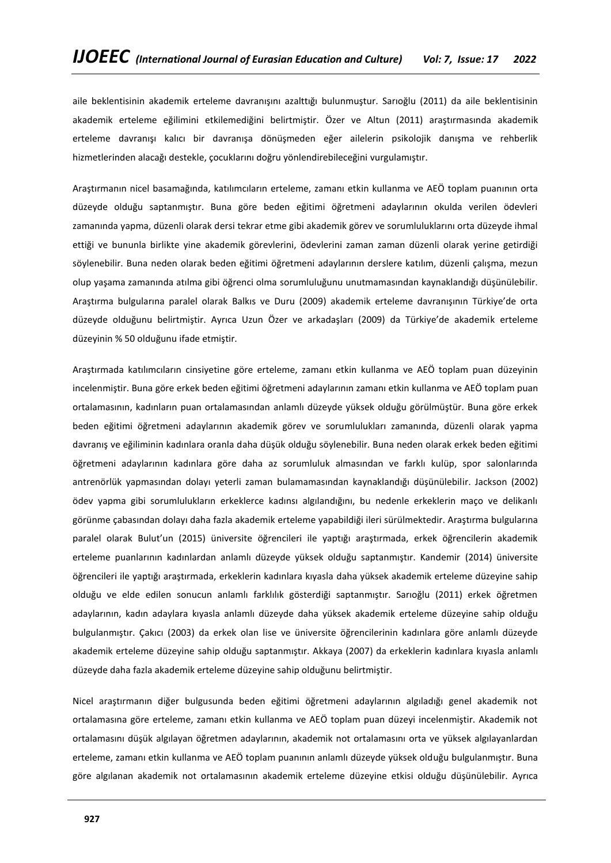aile beklentisinin akademik erteleme davranışını azalttığı bulunmuştur. Sarıoğlu (2011) da aile beklentisinin akademik erteleme eğilimini etkilemediğini belirtmiştir. Özer ve Altun (2011) araştırmasında akademik erteleme davranışı kalıcı bir davranışa dönüşmeden eğer ailelerin psikolojik danışma ve rehberlik hizmetlerinden alacağı destekle, çocuklarını doğru yönlendirebileceğini vurgulamıştır.

Araştırmanın nicel basamağında, katılımcıların erteleme, zamanı etkin kullanma ve AEÖ toplam puanının orta düzeyde olduğu saptanmıştır. Buna göre beden eğitimi öğretmeni adaylarının okulda verilen ödevleri zamanında yapma, düzenli olarak dersi tekrar etme gibi akademik görev ve sorumluluklarını orta düzeyde ihmal ettiği ve bununla birlikte yine akademik görevlerini, ödevlerini zaman zaman düzenli olarak yerine getirdiği söylenebilir. Buna neden olarak beden eğitimi öğretmeni adaylarının derslere katılım, düzenli çalışma, mezun olup yaşama zamanında atılma gibi öğrenci olma sorumluluğunu unutmamasından kaynaklandığı düşünülebilir. Araştırma bulgularına paralel olarak Balkıs ve Duru (2009) akademik erteleme davranışının Türkiye'de orta düzeyde olduğunu belirtmiştir. Ayrıca Uzun Özer ve arkadaşları (2009) da Türkiye'de akademik erteleme düzeyinin % 50 olduğunu ifade etmiştir.

Araştırmada katılımcıların cinsiyetine göre erteleme, zamanı etkin kullanma ve AEÖ toplam puan düzeyinin incelenmiştir. Buna göre erkek beden eğitimi öğretmeni adaylarının zamanı etkin kullanma ve AEÖ toplam puan ortalamasının, kadınların puan ortalamasından anlamlı düzeyde yüksek olduğu görülmüştür. Buna göre erkek beden eğitimi öğretmeni adaylarının akademik görev ve sorumlulukları zamanında, düzenli olarak yapma davranış ve eğiliminin kadınlara oranla daha düşük olduğu söylenebilir. Buna neden olarak erkek beden eğitimi öğretmeni adaylarının kadınlara göre daha az sorumluluk almasından ve farklı kulüp, spor salonlarında antrenörlük yapmasından dolayı yeterli zaman bulamamasından kaynaklandığı düşünülebilir. Jackson (2002) ödev yapma gibi sorumlulukların erkeklerce kadınsı algılandığını, bu nedenle erkeklerin maço ve delikanlı görünme çabasından dolayı daha fazla akademik erteleme yapabildiği ileri sürülmektedir. Araştırma bulgularına paralel olarak Bulut'un (2015) üniversite öğrencileri ile yaptığı araştırmada, erkek öğrencilerin akademik erteleme puanlarının kadınlardan anlamlı düzeyde yüksek olduğu saptanmıştır. Kandemir (2014) üniversite öğrencileri ile yaptığı araştırmada, erkeklerin kadınlara kıyasla daha yüksek akademik erteleme düzeyine sahip olduğu ve elde edilen sonucun anlamlı farklılık gösterdiği saptanmıştır. Sarıoğlu (2011) erkek öğretmen adaylarının, kadın adaylara kıyasla anlamlı düzeyde daha yüksek akademik erteleme düzeyine sahip olduğu bulgulanmıştır. Çakıcı (2003) da erkek olan lise ve üniversite öğrencilerinin kadınlara göre anlamlı düzeyde akademik erteleme düzeyine sahip olduğu saptanmıştır. Akkaya (2007) da erkeklerin kadınlara kıyasla anlamlı düzeyde daha fazla akademik erteleme düzeyine sahip olduğunu belirtmiştir.

Nicel araştırmanın diğer bulgusunda beden eğitimi öğretmeni adaylarının algıladığı genel akademik not ortalamasına göre erteleme, zamanı etkin kullanma ve AEÖ toplam puan düzeyi incelenmiştir. Akademik not ortalamasını düşük algılayan öğretmen adaylarının, akademik not ortalamasını orta ve yüksek algılayanlardan erteleme, zamanı etkin kullanma ve AEÖ toplam puanının anlamlı düzeyde yüksek olduğu bulgulanmıştır. Buna göre algılanan akademik not ortalamasının akademik erteleme düzeyine etkisi olduğu düşünülebilir. Ayrıca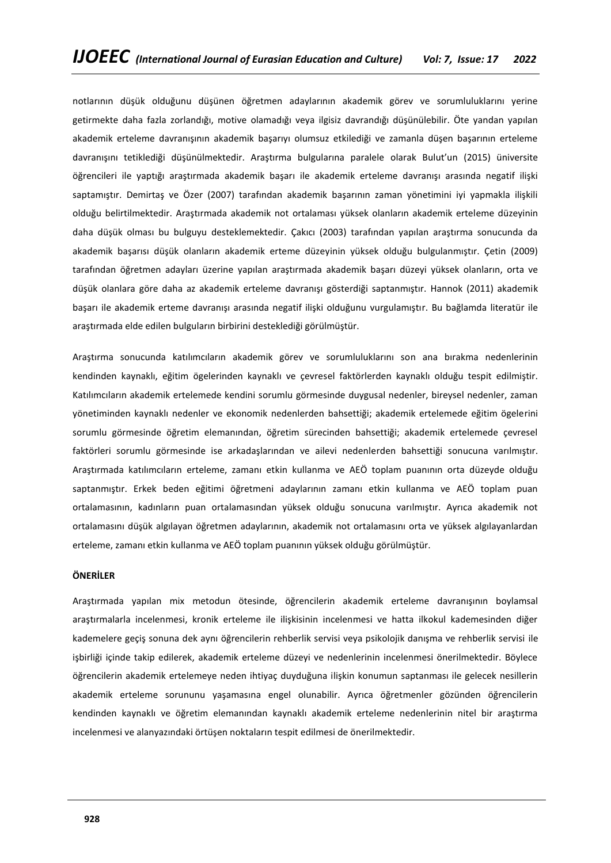notlarının düşük olduğunu düşünen öğretmen adaylarının akademik görev ve sorumluluklarını yerine getirmekte daha fazla zorlandığı, motive olamadığı veya ilgisiz davrandığı düşünülebilir. Öte yandan yapılan akademik erteleme davranışının akademik başarıyı olumsuz etkilediği ve zamanla düşen başarının erteleme davranışını tetiklediği düşünülmektedir. Araştırma bulgularına paralele olarak Bulut'un (2015) üniversite öğrencileri ile yaptığı araştırmada akademik başarı ile akademik erteleme davranışı arasında negatif ilişki saptamıştır. Demirtaş ve Özer (2007) tarafından akademik başarının zaman yönetimini iyi yapmakla ilişkili olduğu belirtilmektedir. Araştırmada akademik not ortalaması yüksek olanların akademik erteleme düzeyinin daha düşük olması bu bulguyu desteklemektedir. Çakıcı (2003) tarafından yapılan araştırma sonucunda da akademik başarısı düşük olanların akademik erteme düzeyinin yüksek olduğu bulgulanmıştır. Çetin (2009) tarafından öğretmen adayları üzerine yapılan araştırmada akademik başarı düzeyi yüksek olanların, orta ve düşük olanlara göre daha az akademik erteleme davranışı gösterdiği saptanmıştır. Hannok (2011) akademik başarı ile akademik erteme davranışı arasında negatif ilişki olduğunu vurgulamıştır. Bu bağlamda literatür ile araştırmada elde edilen bulguların birbirini desteklediği görülmüştür.

Araştırma sonucunda katılımcıların akademik görev ve sorumluluklarını son ana bırakma nedenlerinin kendinden kaynaklı, eğitim ögelerinden kaynaklı ve çevresel faktörlerden kaynaklı olduğu tespit edilmiştir. Katılımcıların akademik ertelemede kendini sorumlu görmesinde duygusal nedenler, bireysel nedenler, zaman yönetiminden kaynaklı nedenler ve ekonomik nedenlerden bahsettiği; akademik ertelemede eğitim ögelerini sorumlu görmesinde öğretim elemanından, öğretim sürecinden bahsettiği; akademik ertelemede çevresel faktörleri sorumlu görmesinde ise arkadaşlarından ve ailevi nedenlerden bahsettiği sonucuna varılmıştır. Araştırmada katılımcıların erteleme, zamanı etkin kullanma ve AEÖ toplam puanının orta düzeyde olduğu saptanmıştır. Erkek beden eğitimi öğretmeni adaylarının zamanı etkin kullanma ve AEÖ toplam puan ortalamasının, kadınların puan ortalamasından yüksek olduğu sonucuna varılmıştır. Ayrıca akademik not ortalamasını düşük algılayan öğretmen adaylarının, akademik not ortalamasını orta ve yüksek algılayanlardan erteleme, zamanı etkin kullanma ve AEÖ toplam puanının yüksek olduğu görülmüştür.

## **ÖNERİLER**

Araştırmada yapılan mix metodun ötesinde, öğrencilerin akademik erteleme davranışının boylamsal araştırmalarla incelenmesi, kronik erteleme ile ilişkisinin incelenmesi ve hatta ilkokul kademesinden diğer kademelere geçiş sonuna dek aynı öğrencilerin rehberlik servisi veya psikolojik danışma ve rehberlik servisi ile işbirliği içinde takip edilerek, akademik erteleme düzeyi ve nedenlerinin incelenmesi önerilmektedir. Böylece öğrencilerin akademik ertelemeye neden ihtiyaç duyduğuna ilişkin konumun saptanması ile gelecek nesillerin akademik erteleme sorununu yaşamasına engel olunabilir. Ayrıca öğretmenler gözünden öğrencilerin kendinden kaynaklı ve öğretim elemanından kaynaklı akademik erteleme nedenlerinin nitel bir araştırma incelenmesi ve alanyazındaki örtüşen noktaların tespit edilmesi de önerilmektedir.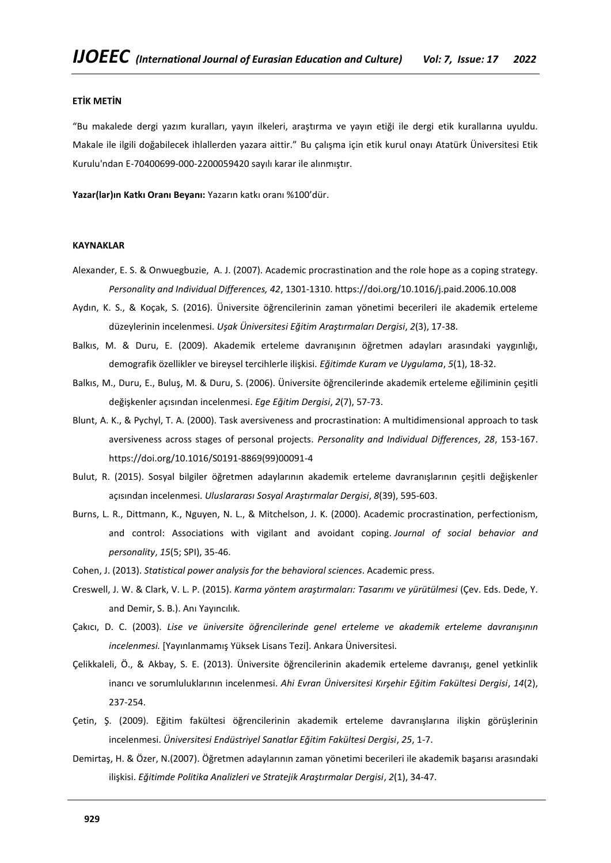## **ETİK METİN**

"Bu makalede dergi yazım kuralları, yayın ilkeleri, araştırma ve yayın etiği ile dergi etik kurallarına uyuldu. Makale ile ilgili doğabilecek ihlallerden yazara aittir." Bu çalışma için etik kurul onayı Atatürk Üniversitesi Etik Kurulu'ndan E-70400699-000-2200059420 sayılı karar ile alınmıştır.

**Yazar(lar)ın Katkı Oranı Beyanı:** Yazarın katkı oranı %100'dür.

# **KAYNAKLAR**

- Alexander, E. S. & Onwuegbuzie, A. J. (2007). Academic procrastination and the role hope as a coping strategy. *Personality and Individual Differences, 42*, 1301-1310[. https://doi.org/10.1016/j.paid.2006.10.008](https://doi.org/10.1016/j.paid.2006.10.008)
- Aydın, K. S., & Koçak, S. (2016). Üniversite öğrencilerinin zaman yönetimi becerileri ile akademik erteleme düzeylerinin incelenmesi. *Uşak Üniversitesi Eğitim Araştırmaları Dergisi*, *2*(3), 17-38.
- Balkıs, M. & Duru, E. (2009). Akademik erteleme davranışının öğretmen adayları arasındaki yaygınlığı, demografik özellikler ve bireysel tercihlerle ilişkisi. *Eğitimde Kuram ve Uygulama*, *5*(1), 18-32.
- Balkıs, M., Duru, E., Buluş, M. & Duru, S. (2006). Üniversite öğrencilerinde akademik erteleme eğiliminin çeşitli değişkenler açısından incelenmesi. *Ege Eğitim Dergisi*, *2*(7), 57-73.
- Blunt, A. K., & Pychyl, T. A. (2000). Task aversiveness and procrastination: A multidimensional approach to task aversiveness across stages of personal projects. *Personality and Individual Differences*, *28*, 153-167. [https://doi.org/10.1016/S0191-8869\(99\)00091-4](https://doi.org/10.1016/S0191-8869(99)00091-4)
- Bulut, R. (2015). Sosyal bilgiler öğretmen adaylarının akademik erteleme davranışlarının çeşitli değişkenler açısından incelenmesi. *Uluslararası Sosyal Araştırmalar Dergisi*, *8*(39), 595-603.
- Burns, L. R., Dittmann, K., Nguyen, N. L., & Mitchelson, J. K. (2000). Academic procrastination, perfectionism, and control: Associations with vigilant and avoidant coping. *Journal of social behavior and personality*, *15*(5; SPI), 35-46.
- Cohen, J. (2013). *Statistical power analysis for the behavioral sciences*. Academic press.
- Creswell, J. W. & Clark, V. L. P. (2015). *Karma yöntem araştırmaları: Tasarımı ve yürütülmesi* (Çev. Eds. Dede, Y. and Demir, S. B.). Anı Yayıncılık.
- Çakıcı, D. C. (2003). *Lise ve üniversite öğrencilerinde genel erteleme ve akademik erteleme davranışının incelenmesi.* [Yayınlanmamış Yüksek Lisans Tezi]. Ankara Üniversitesi.
- Çelikkaleli, Ö., & Akbay, S. E. (2013). Üniversite öğrencilerinin akademik erteleme davranışı, genel yetkinlik inancı ve sorumluluklarının incelenmesi. *Ahi Evran Üniversitesi Kırşehir Eğitim Fakültesi Dergisi*, *14*(2), 237-254.
- Çetin, Ş. (2009). Eğitim fakültesi öğrencilerinin akademik erteleme davranışlarına ilişkin görüşlerinin incelenmesi. *Üniversitesi Endüstriyel Sanatlar Eğitim Fakültesi Dergisi*, *25*, 1-7.
- Demirtaş, H. & Özer, N.(2007). Öğretmen adaylarının zaman yönetimi becerileri ile akademik başarısı arasındaki ilişkisi. *Eğitimde Politika Analizleri ve Stratejik Araştırmalar Dergisi*, *2*(1), 34-47.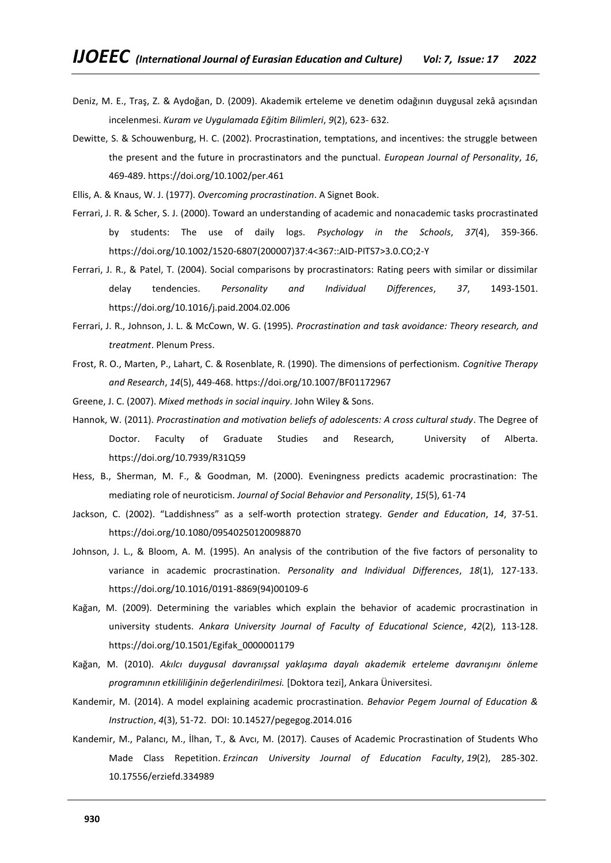- Deniz, M. E., Traş, Z. & Aydoğan, D. (2009). Akademik erteleme ve denetim odağının duygusal zekâ açısından incelenmesi. *Kuram ve Uygulamada Eğitim Bilimleri*, *9*(2), 623- 632.
- Dewitte, S. & Schouwenburg, H. C. (2002). Procrastination, temptations, and incentives: the struggle between the present and the future in procrastinators and the punctual. *European Journal of Personality*, *16*, 469-489[. https://doi.org/10.1002/per.461](https://doi.org/10.1002/per.461)
- Ellis, A. & Knaus, W. J. (1977). *Overcoming procrastination*. A Signet Book.
- Ferrari, J. R. & Scher, S. J. (2000). Toward an understanding of academic and nonacademic tasks procrastinated by students: The use of daily logs. *Psychology in the Schools*, *37*(4), 359-366. [https://doi.org/10.1002/1520-6807\(200007\)37:4<367::AID-PITS7>3.0.CO;2-Y](https://doi.org/10.1002/1520-6807(200007)37:4%3C367::AID-PITS7%3E3.0.CO;2-Y)
- Ferrari, J. R., & Patel, T. (2004). Social comparisons by procrastinators: Rating peers with similar or dissimilar delay tendencies. *Personality and Individual Differences*, *37*, 1493-1501. <https://doi.org/10.1016/j.paid.2004.02.006>
- Ferrari, J. R., Johnson, J. L. & McCown, W. G. (1995). *Procrastination and task avoidance: Theory research, and treatment*. Plenum Press.
- Frost, R. O., Marten, P., Lahart, C. & Rosenblate, R. (1990). The dimensions of perfectionism. *Cognitive Therapy and Research*, *14*(5), 449-468.<https://doi.org/10.1007/BF01172967>
- Greene, J. C. (2007). *Mixed methods in social inquiry*. John Wiley & Sons.
- Hannok, W. (2011). *Procrastination and motivation beliefs of adolescents: A cross cultural study*. The Degree of Doctor. Faculty of [Graduate Studies and Research,](https://era.library.ualberta.ca/communities/db9a4e71-f809-4385-a274-048f28eb6814) University of Alberta. <https://doi.org/10.7939/R31Q59>
- Hess, B., Sherman, M. F., & Goodman, M. (2000). Eveningness predicts academic procrastination: The mediating role of neuroticism. *Journal of Social Behavior and Personality*, *15*(5), 61-74
- Jackson, C. (2002). "Laddishness" as a self-worth protection strategy*. Gender and Education*, *14*, 37-51. <https://doi.org/10.1080/09540250120098870>
- Johnson, J. L., & Bloom, A. M. (1995). An analysis of the contribution of the five factors of personality to variance in academic procrastination. *Personality and Individual Differences*, *18*(1), 127-133. [https://doi.org/10.1016/0191-8869\(94\)00109-6](https://doi.org/10.1016/0191-8869(94)00109-6)
- Kağan, M. (2009). Determining the variables which explain the behavior of academic procrastination in university students. *Ankara University Journal of Faculty of Educational Science*, *42*(2), 113-128. [https://doi.org/10.1501/Egifak\\_0000001179](https://doi.org/10.1501/Egifak_0000001179)
- Kağan, M. (2010). *Akılcı duygusal davranışsal yaklaşıma dayalı akademik erteleme davranışını önleme programının etkililiğinin değerlendirilmesi.* [Doktora tezi], Ankara Üniversitesi.
- Kandemir, M. (2014). A model explaining academic procrastination. *Behavior Pegem Journal of Education & Instruction*, *4*(3), 51-72. DOI: 10.14527/pegegog.2014.016
- Kandemir, M., Palancı, M., İlhan, T., & Avcı, M. (2017). Causes of Academic Procrastination of Students Who Made Class Repetition. *Erzincan University Journal of Education Faculty*, *19*(2), 285-302. 10.17556/erziefd.334989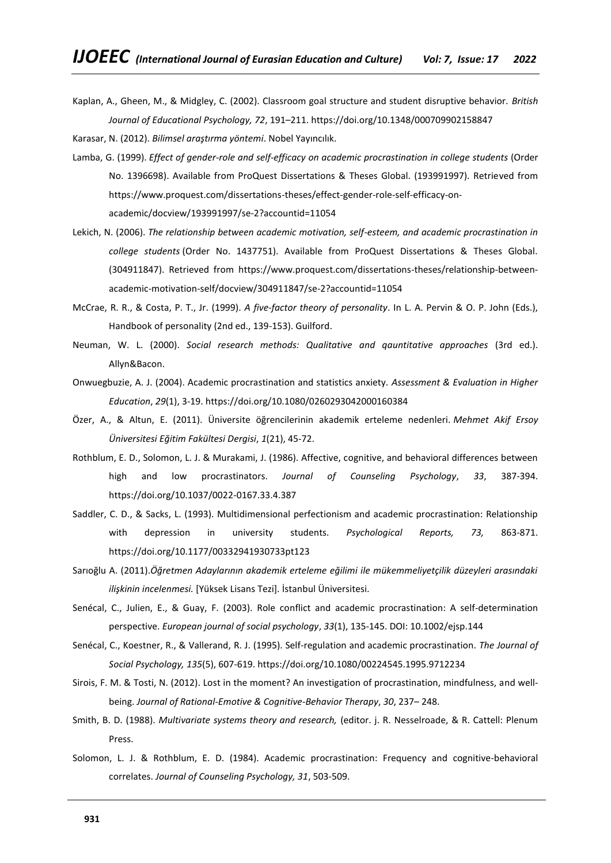Kaplan, A., Gheen, M., & Midgley, C. (2002). Classroom goal structure and student disruptive behavior. *British Journal of Educational Psychology, 72*, 191–211[. https://doi.org/10.1348/000709902158847](https://doi.org/10.1348/000709902158847)

Karasar, N. (2012). *Bilimsel araştırma yöntemi*. Nobel Yayıncılık.

- Lamba, G. (1999). *Effect of gender-role and self-efficacy on academic procrastination in college students* (Order No. 1396698). Available from ProQuest Dissertations & Theses Global. (193991997). Retrieved from [https://www.proquest.com/dissertations-theses/effect-gender-role-self-efficacy-on](https://www.proquest.com/dissertations-theses/effect-gender-role-self-efficacy-on-academic/docview/193991997/se-2?accountid=11054)[academic/docview/193991997/se-2?accountid=11054](https://www.proquest.com/dissertations-theses/effect-gender-role-self-efficacy-on-academic/docview/193991997/se-2?accountid=11054)
- Lekich, N. (2006). *The relationship between academic motivation, self-esteem, and academic procrastination in college students* (Order No. 1437751). Available from ProQuest Dissertations & Theses Global. (304911847). Retrieved from [https://www.proquest.com/dissertations-theses/relationship-between](https://www.proquest.com/dissertations-theses/relationship-between-academic-motivation-self/docview/304911847/se-2?accountid=11054)[academic-motivation-self/docview/304911847/se-2?accountid=11054](https://www.proquest.com/dissertations-theses/relationship-between-academic-motivation-self/docview/304911847/se-2?accountid=11054)
- McCrae, R. R., & Costa, P. T., Jr. (1999). *A five-factor theory of personality*. In L. A. Pervin & O. P. John (Eds.), Handbook of personality (2nd ed., 139-153). Guilford.
- Neuman, W. L. (2000). *Social research methods: Qualitative and qauntitative approaches* (3rd ed.). Allyn&Bacon.
- Onwuegbuzie, A. J. (2004). Academic procrastination and statistics anxiety. *Assessment & Evaluation in Higher Education*, *29*(1), 3-19[. https://doi.org/10.1080/0260293042000160384](https://doi.org/10.1080/0260293042000160384)
- Özer, A., & Altun, E. (2011). Üniversite öğrencilerinin akademik erteleme nedenleri. *Mehmet Akif Ersoy Üniversitesi Eğitim Fakültesi Dergisi*, *1*(21), 45-72.
- Rothblum, E. D., Solomon, L. J. & Murakami, J. (1986). Affective, cognitive, and behavioral differences between high and low procrastinators. *Journal of Counseling Psychology*, *33*, 387-394. [https://doi.org/10.1037/0022-0167.33.4.387](https://psycnet.apa.org/doi/10.1037/0022-0167.33.4.387)
- Saddler, C. D., & Sacks, L. (1993). Multidimensional perfectionism and academic procrastination: Relationship with depression in university students*. Psychological Reports, 73,* 863-871. [https://doi.org/10.1177/00332941930733pt123](https://doi.org/10.1177%2F00332941930733pt123)
- Sarıoğlu A. (2011).*Öğretmen Adaylarının akademik erteleme eğilimi ile mükemmeliyetçilik düzeyleri arasındaki ilişkinin incelenmesi.* [Yüksek Lisans Tezi]. İstanbul Üniversitesi.
- Senécal, C., Julien, E., & Guay, F. (2003). Role conflict and academic procrastination: A self-determination perspective. *European journal of social psychology*, *33*(1), 135-145. DOI: 10.1002/ejsp.144
- Senécal, C., Koestner, R., & Vallerand, R. J. (1995). Self-regulation and academic procrastination. *The Journal of Social Psychology, 135*(5), 607-619.<https://doi.org/10.1080/00224545.1995.9712234>
- Sirois, F. M. & Tosti, N. (2012). Lost in the moment? An investigation of procrastination, mindfulness, and wellbeing. *Journal of Rational-Emotive & Cognitive-Behavior Therapy*, *30*, 237– 248.
- Smith, B. D. (1988). *Multivariate systems theory and research,* (editor. j. R. Nesselroade, & R. Cattell: Plenum Press.
- Solomon, L. J. & Rothblum, E. D. (1984). Academic procrastination: Frequency and cognitive-behavioral correlates. *Journal of Counseling Psychology, 31*, 503-509.